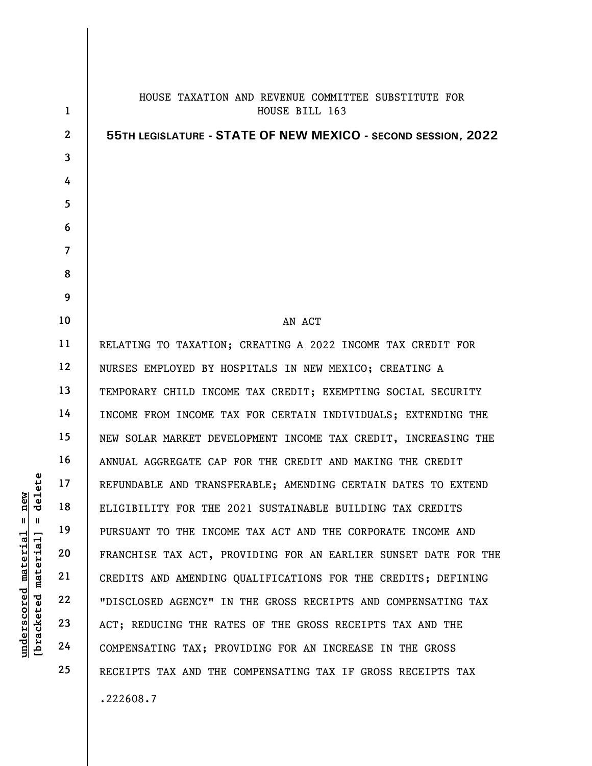|                                        | $\mathbf{1}$   | HOUSE TAXATION AND REVENUE COMMITTEE SUBSTITUTE FOR<br>HOUSE BILL 163 |
|----------------------------------------|----------------|-----------------------------------------------------------------------|
|                                        | $\overline{2}$ | 55TH LEGISLATURE - STATE OF NEW MEXICO - SECOND SESSION, 2022         |
|                                        | $\overline{3}$ |                                                                       |
|                                        | 4              |                                                                       |
|                                        | 5              |                                                                       |
|                                        | 6              |                                                                       |
|                                        | $\overline{7}$ |                                                                       |
|                                        | 8              |                                                                       |
|                                        | 9              |                                                                       |
|                                        | 10             | AN ACT                                                                |
|                                        | 11             | RELATING TO TAXATION; CREATING A 2022 INCOME TAX CREDIT FOR           |
|                                        | 12             | NURSES EMPLOYED BY HOSPITALS IN NEW MEXICO; CREATING A                |
|                                        | 13             | TEMPORARY CHILD INCOME TAX CREDIT; EXEMPTING SOCIAL SECURITY          |
|                                        | 14             | INCOME FROM INCOME TAX FOR CERTAIN INDIVIDUALS; EXTENDING THE         |
|                                        | 15             | NEW SOLAR MARKET DEVELOPMENT INCOME TAX CREDIT, INCREASING THE        |
|                                        | 16             | ANNUAL AGGREGATE CAP FOR THE CREDIT AND MAKING THE CREDIT             |
|                                        | 17             | REFUNDABLE AND TRANSFERABLE; AMENDING CERTAIN DATES TO EXTEND         |
| elete<br>δÑ<br>ರ                       | 18             |                                                                       |
| ี่ผ<br>Ш                               | 19             | ELIGIBILITY FOR THE 2021 SUSTAINABLE BUILDING TAX CREDITS             |
|                                        |                | PURSUANT TO THE INCOME TAX ACT AND THE CORPORATE INCOME AND           |
| materia<br>-material                   | 20             | FRANCHISE TAX ACT, PROVIDING FOR AN EARLIER SUNSET DATE FOR THE       |
|                                        | 21             | CREDITS AND AMENDING QUALIFICATIONS FOR THE CREDITS; DEFINING         |
|                                        | 22             | "DISCLOSED AGENCY" IN THE GROSS RECEIPTS AND COMPENSATING TAX         |
| underscored<br>[ <del>brack</del> eted | 23             | ACT; REDUCING THE RATES OF THE GROSS RECEIPTS TAX AND THE             |
|                                        | 24             | COMPENSATING TAX; PROVIDING FOR AN INCREASE IN THE GROSS              |
|                                        | 25             | RECEIPTS TAX AND THE COMPENSATING TAX IF GROSS RECEIPTS TAX           |
|                                        |                | .222608.7                                                             |

 $\overline{\phantom{a}}$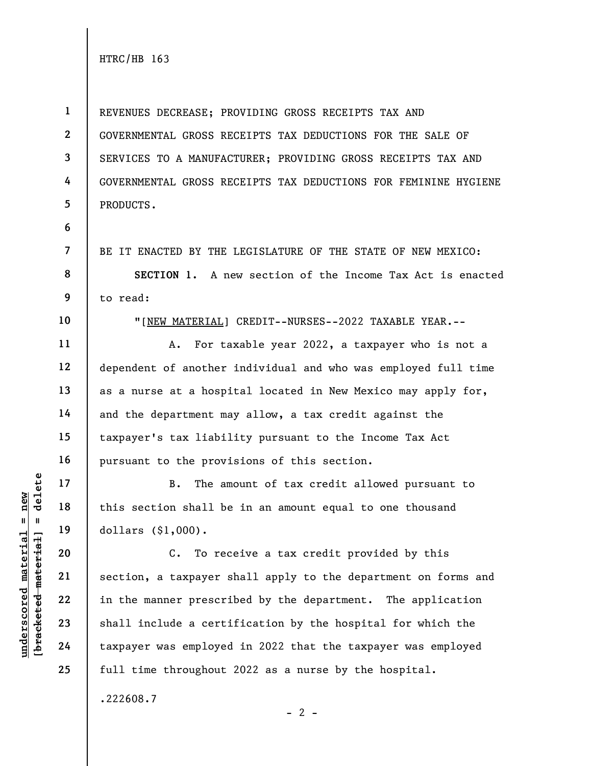1 2 3 4 5 REVENUES DECREASE; PROVIDING GROSS RECEIPTS TAX AND GOVERNMENTAL GROSS RECEIPTS TAX DEDUCTIONS FOR THE SALE OF SERVICES TO A MANUFACTURER; PROVIDING GROSS RECEIPTS TAX AND GOVERNMENTAL GROSS RECEIPTS TAX DEDUCTIONS FOR FEMININE HYGIENE PRODUCTS.

6

7

8

9

BE IT ENACTED BY THE LEGISLATURE OF THE STATE OF NEW MEXICO:

SECTION 1. A new section of the Income Tax Act is enacted to read:

10

11

12

13

14

15

16

17

18

19

20

21

22

23

24

25

"[NEW MATERIAL] CREDIT--NURSES--2022 TAXABLE YEAR.--

A. For taxable year 2022, a taxpayer who is not a dependent of another individual and who was employed full time as a nurse at a hospital located in New Mexico may apply for, and the department may allow, a tax credit against the taxpayer's tax liability pursuant to the Income Tax Act pursuant to the provisions of this section.

B. The amount of tax credit allowed pursuant to this section shall be in an amount equal to one thousand dollars (\$1,000).

underscored material = new [bracketed material] = delete C. To receive a tax credit provided by this section, a taxpayer shall apply to the department on forms and in the manner prescribed by the department. The application shall include a certification by the hospital for which the taxpayer was employed in 2022 that the taxpayer was employed full time throughout 2022 as a nurse by the hospital.

 $- 2 -$ 

.222608.7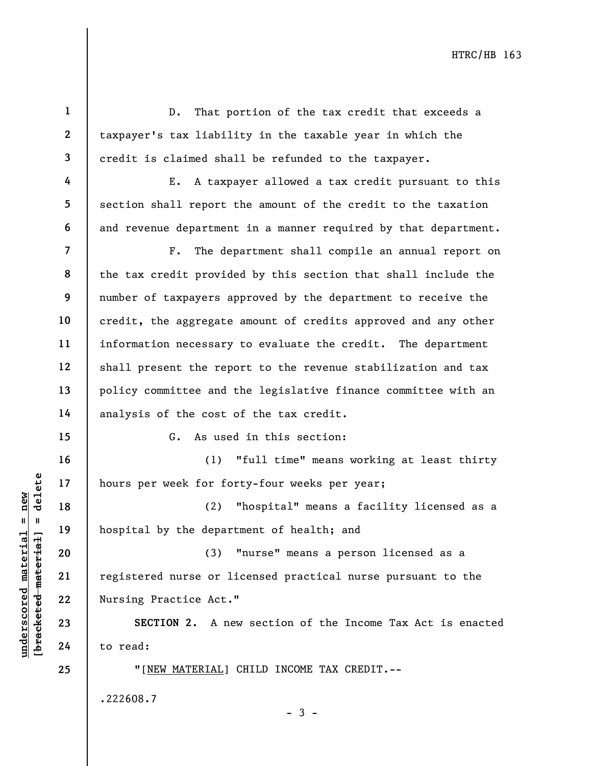understand material material material material material end of the department of the department of the department of the department of the department of the department of the department of the department of the department 1 2 3 4 5 6 7 8 9 10 11 12 13 14 15 16 17 18 19 20 21 22 23 24 25 D. That portion of the tax credit that exceeds a taxpayer's tax liability in the taxable year in which the credit is claimed shall be refunded to the taxpayer. E. A taxpayer allowed a tax credit pursuant to this section shall report the amount of the credit to the taxation and revenue department in a manner required by that department. F. The department shall compile an annual report on the tax credit provided by this section that shall include the number of taxpayers approved by the department to receive the credit, the aggregate amount of credits approved and any other information necessary to evaluate the credit. The department shall present the report to the revenue stabilization and tax policy committee and the legislative finance committee with an analysis of the cost of the tax credit. G. As used in this section: (1) "full time" means working at least thirty hours per week for forty-four weeks per year; (2) "hospital" means a facility licensed as a hospital by the department of health; and (3) "nurse" means a person licensed as a registered nurse or licensed practical nurse pursuant to the Nursing Practice Act." SECTION 2. A new section of the Income Tax Act is enacted to read: "[NEW MATERIAL] CHILD INCOME TAX CREDIT.-- .222608.7  $-3 -$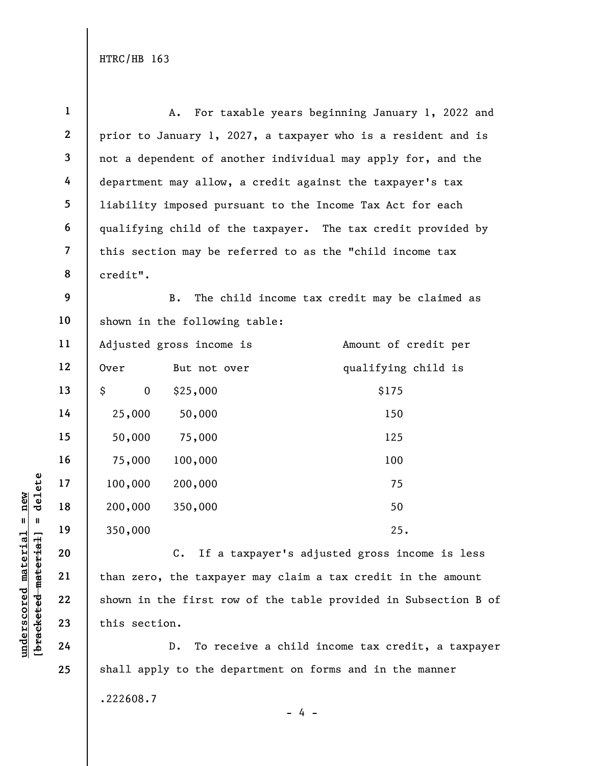|                     | $\mathbf{1}$             | For taxable years beginning January 1, 2022 and<br>A.           |  |
|---------------------|--------------------------|-----------------------------------------------------------------|--|
|                     | $\mathbf{2}$             | prior to January 1, 2027, a taxpayer who is a resident and is   |  |
|                     | 3                        | not a dependent of another individual may apply for, and the    |  |
|                     | 4                        | department may allow, a credit against the taxpayer's tax       |  |
|                     | 5                        | liability imposed pursuant to the Income Tax Act for each       |  |
|                     | 6                        | qualifying child of the taxpayer. The tax credit provided by    |  |
|                     | $\overline{\mathcal{L}}$ | this section may be referred to as the "child income tax        |  |
|                     | 8                        | credit".                                                        |  |
|                     | 9                        | $\, {\bf B}$ .<br>The child income tax credit may be claimed as |  |
|                     | 10                       | shown in the following table:                                   |  |
|                     | 11                       | Adjusted gross income is<br>Amount of credit per                |  |
|                     | 12                       | qualifying child is<br>0ver<br>But not over                     |  |
|                     | 13                       | \$<br>\$175<br>$\mathbf 0$<br>\$25,000                          |  |
|                     | 14                       | 25,000<br>50,000<br>150                                         |  |
|                     | 15                       | 50,000<br>75,000<br>125                                         |  |
|                     | 16                       | 100,000<br>100<br>75,000                                        |  |
| delete              | 17                       | 100,000<br>200,000<br>75                                        |  |
| $=$ new             | 18                       | 200,000<br>350,000<br>50                                        |  |
| Ш                   | 19                       | 350,000<br>25.                                                  |  |
| materia<br>material | 20                       | If a taxpayer's adjusted gross income is less<br>$C$ .          |  |
|                     | 21                       | than zero, the taxpayer may claim a tax credit in the amount    |  |
| underscored         | 22                       | shown in the first row of the table provided in Subsection B of |  |
| [bracketed          | 23                       | this section.                                                   |  |
|                     | 24                       | To receive a child income tax credit, a taxpayer<br>$D$ .       |  |
|                     | 25                       | shall apply to the department on forms and in the manner        |  |

.222608.7

 $- 4 -$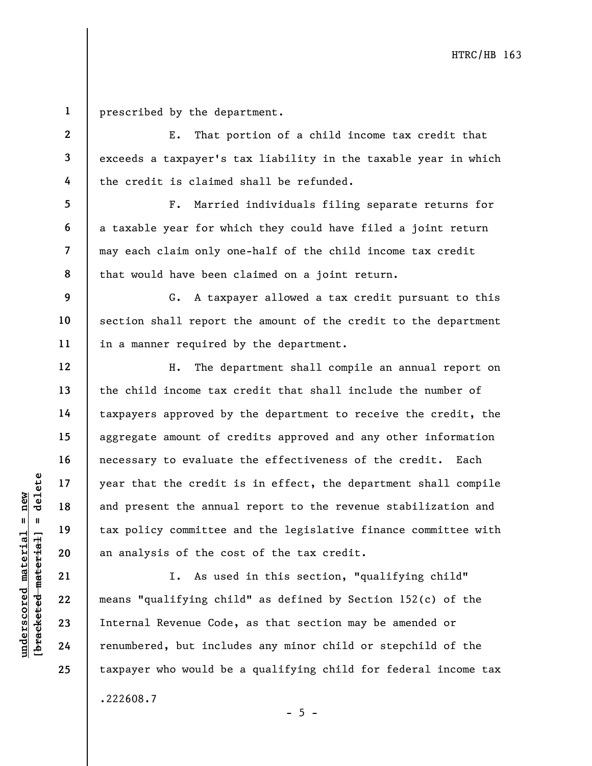1 prescribed by the department.

2

3

4

5

6

7

8

9

10

11

12

13

14

15

16

17

18

19

20

21

22

23

24

25

E. That portion of a child income tax credit that exceeds a taxpayer's tax liability in the taxable year in which the credit is claimed shall be refunded.

F. Married individuals filing separate returns for a taxable year for which they could have filed a joint return may each claim only one-half of the child income tax credit that would have been claimed on a joint return.

G. A taxpayer allowed a tax credit pursuant to this section shall report the amount of the credit to the department in a manner required by the department.

understand material material speech of the credit<br>
were that the credit<br>
and present the annua<br>
tax policy committee<br>
an analysis of the co<br>
an analysis of the co<br>
21 I. As use<br>
22 means "qualifying chi<br>
24 Thermal Revenue H. The department shall compile an annual report on the child income tax credit that shall include the number of taxpayers approved by the department to receive the credit, the aggregate amount of credits approved and any other information necessary to evaluate the effectiveness of the credit. Each year that the credit is in effect, the department shall compile and present the annual report to the revenue stabilization and tax policy committee and the legislative finance committee with an analysis of the cost of the tax credit.

I. As used in this section, "qualifying child" means "qualifying child" as defined by Section 152(c) of the Internal Revenue Code, as that section may be amended or renumbered, but includes any minor child or stepchild of the taxpayer who would be a qualifying child for federal income tax .222608.7

 $- 5 -$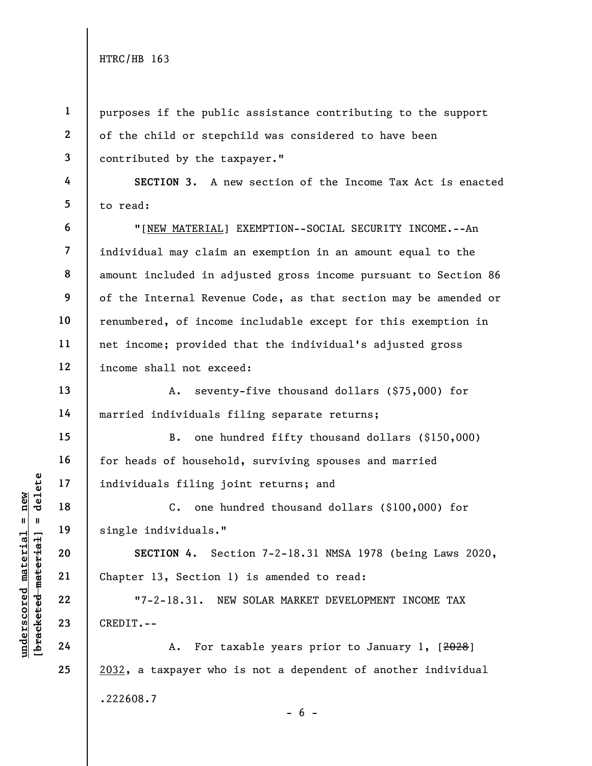1

2

3

4

5

6

7

8

9

10

11

12

13

14

15

16

17

18

19

20

21

22

23

24

25

purposes if the public assistance contributing to the support of the child or stepchild was considered to have been contributed by the taxpayer."

SECTION 3. A new section of the Income Tax Act is enacted to read:

"[NEW MATERIAL] EXEMPTION--SOCIAL SECURITY INCOME.--An individual may claim an exemption in an amount equal to the amount included in adjusted gross income pursuant to Section 86 of the Internal Revenue Code, as that section may be amended or renumbered, of income includable except for this exemption in net income; provided that the individual's adjusted gross income shall not exceed:

A. seventy-five thousand dollars (\$75,000) for married individuals filing separate returns;

B. one hundred fifty thousand dollars (\$150,000) for heads of household, surviving spouses and married individuals filing joint returns; and

C. one hundred thousand dollars (\$100,000) for single individuals."

SECTION 4. Section 7-2-18.31 NMSA 1978 (being Laws 2020, Chapter 13, Section 1) is amended to read:

"7-2-18.31. NEW SOLAR MARKET DEVELOPMENT INCOME TAX CREDIT.--

A. For taxable years prior to January 1, [2028] 2032, a taxpayer who is not a dependent of another individual .222608.7  $- 6 -$ 

underscore material material entity of the single individuals."<br>  $\begin{array}{c|c|c|c|c} \n\text{u} & \text{u} & \text{u} & \text{u} & \text{u} & \text{u} & \text{u} & \text{u} & \text{u} & \text{u} & \text{u} & \text{u} & \text{u} & \text{u} & \text{u} & \text{u} & \text{u} & \text{u} & \text{u} & \text{u} & \text{u} & \text{u} & \text{u} & \$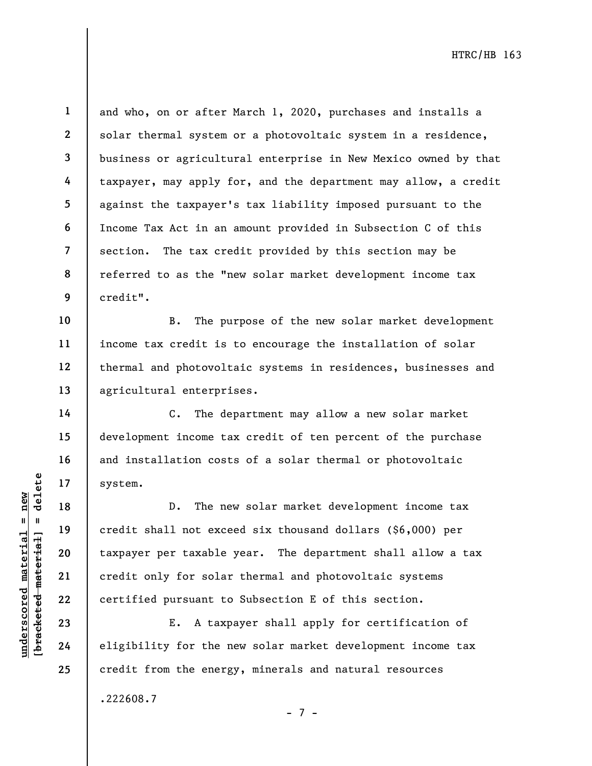14

15

16

17

18

19

20

21

22

23

24

25

1 2 3 4 5 6 7 8 9 and who, on or after March 1, 2020, purchases and installs a solar thermal system or a photovoltaic system in a residence, business or agricultural enterprise in New Mexico owned by that taxpayer, may apply for, and the department may allow, a credit against the taxpayer's tax liability imposed pursuant to the Income Tax Act in an amount provided in Subsection C of this section. The tax credit provided by this section may be referred to as the "new solar market development income tax credit".

10 11 12 13 B. The purpose of the new solar market development income tax credit is to encourage the installation of solar thermal and photovoltaic systems in residences, businesses and agricultural enterprises.

C. The department may allow a new solar market development income tax credit of ten percent of the purchase and installation costs of a solar thermal or photovoltaic system.

understand material system.<br>
17 and 18 and 18 b. The new credit shall not except<br>
were taxable<br>
21 and 22 and 22 and 23 and 24 aligibility for the new<br>
24 aligibility for the new state D. The new solar market development income tax credit shall not exceed six thousand dollars (\$6,000) per taxpayer per taxable year. The department shall allow a tax credit only for solar thermal and photovoltaic systems certified pursuant to Subsection E of this section.

E. A taxpayer shall apply for certification of eligibility for the new solar market development income tax credit from the energy, minerals and natural resources

.222608.7

- 7 -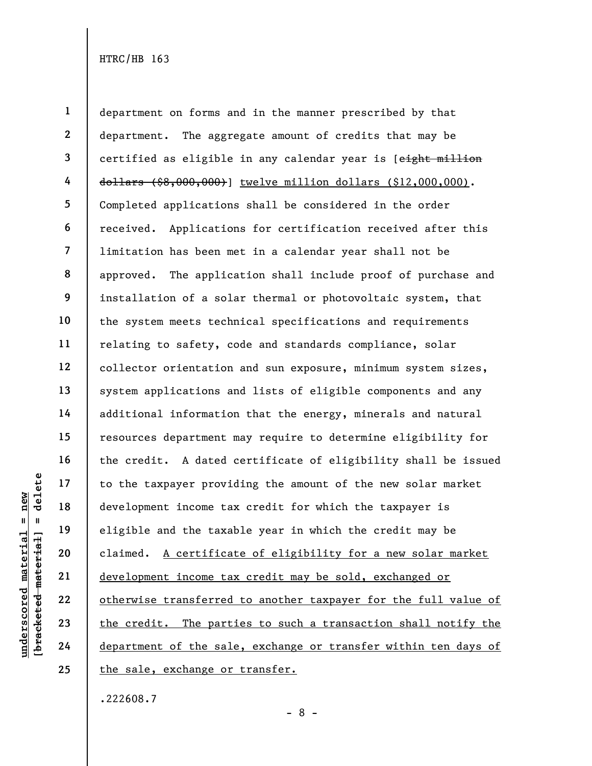underscored material = new [bracketed material] = delete 1 2 3 4 5 6 7 8 9 10 11 12 13 14 15 16 17 18 19 20 21 22 23 24 25 department on forms and in the manner prescribed by that department. The aggregate amount of credits that may be certified as eligible in any calendar year is [eight million dollars (\$8,000,000)] twelve million dollars (\$12,000,000). Completed applications shall be considered in the order received. Applications for certification received after this limitation has been met in a calendar year shall not be approved. The application shall include proof of purchase and installation of a solar thermal or photovoltaic system, that the system meets technical specifications and requirements relating to safety, code and standards compliance, solar collector orientation and sun exposure, minimum system sizes, system applications and lists of eligible components and any additional information that the energy, minerals and natural resources department may require to determine eligibility for the credit. A dated certificate of eligibility shall be issued to the taxpayer providing the amount of the new solar market development income tax credit for which the taxpayer is eligible and the taxable year in which the credit may be claimed. A certificate of eligibility for a new solar market development income tax credit may be sold, exchanged or otherwise transferred to another taxpayer for the full value of the credit. The parties to such a transaction shall notify the department of the sale, exchange or transfer within ten days of the sale, exchange or transfer.

.222608.7

- 8 -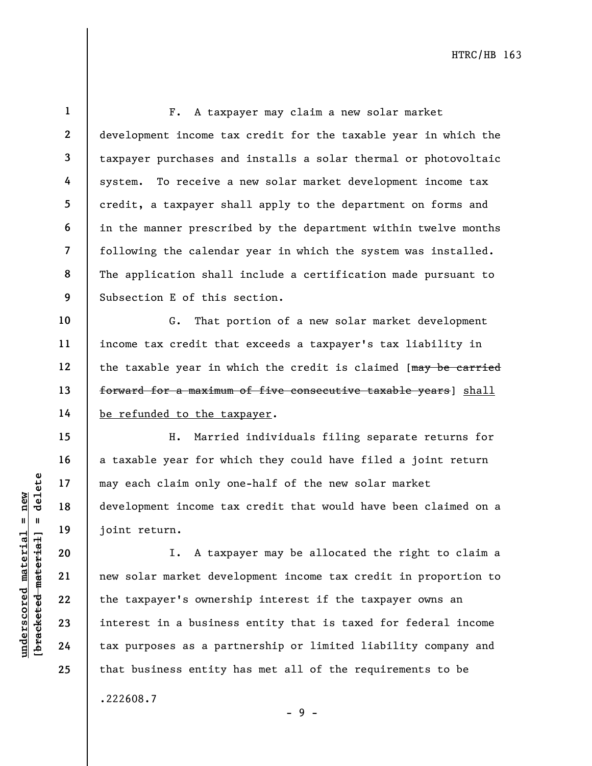21

22

23

24

25

1

F. A taxpayer may claim a new solar market development income tax credit for the taxable year in which the taxpayer purchases and installs a solar thermal or photovoltaic system. To receive a new solar market development income tax credit, a taxpayer shall apply to the department on forms and in the manner prescribed by the department within twelve months following the calendar year in which the system was installed. The application shall include a certification made pursuant to Subsection E of this section.

G. That portion of a new solar market development income tax credit that exceeds a taxpayer's tax liability in the taxable year in which the credit is claimed [may be carried forward for a maximum of five consecutive taxable years] shall be refunded to the taxpayer.

H. Married individuals filing separate returns for a taxable year for which they could have filed a joint return may each claim only one-half of the new solar market development income tax credit that would have been claimed on a joint return.

underscored material material expertises and pair of the taxpayer's owners are also development income ta<br>development income ta<br>development income ta<br>joint return.<br>I. A taxp<br>development income ta<br>development income ta<br>join I. A taxpayer may be allocated the right to claim a new solar market development income tax credit in proportion to the taxpayer's ownership interest if the taxpayer owns an interest in a business entity that is taxed for federal income tax purposes as a partnership or limited liability company and that business entity has met all of the requirements to be

.222608.7

- 9 -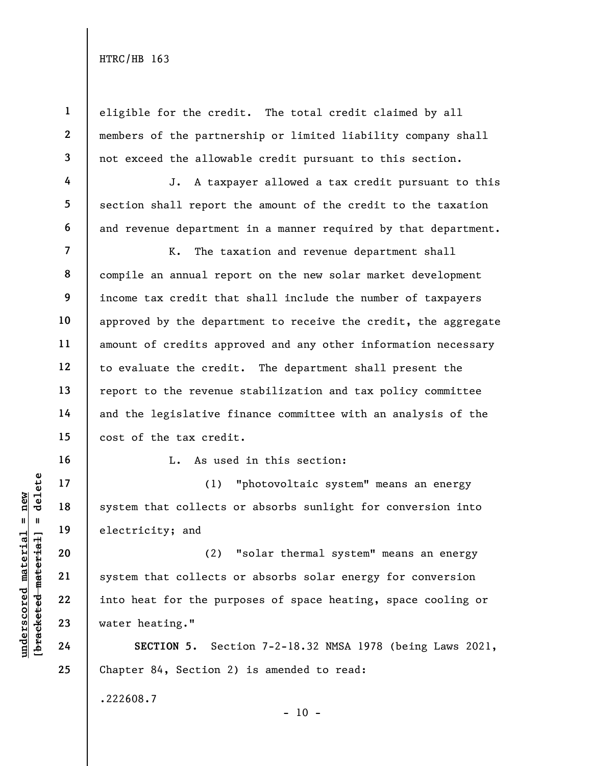1

2

3

4

5

6

16

17

18

19

20

21

22

23

24

25

eligible for the credit. The total credit claimed by all members of the partnership or limited liability company shall not exceed the allowable credit pursuant to this section.

J. A taxpayer allowed a tax credit pursuant to this section shall report the amount of the credit to the taxation and revenue department in a manner required by that department.

7 8 9 10 11 12 13 14 15 K. The taxation and revenue department shall compile an annual report on the new solar market development income tax credit that shall include the number of taxpayers approved by the department to receive the credit, the aggregate amount of credits approved and any other information necessary to evaluate the credit. The department shall present the report to the revenue stabilization and tax policy committee and the legislative finance committee with an analysis of the cost of the tax credit.

L. As used in this section:

(1) "photovoltaic system" means an energy system that collects or absorbs sunlight for conversion into electricity; and

understand<br>
understand<br>
understand<br>
understand<br>
20<br>
understand<br>
21<br>
understand<br>
22<br>
understand<br>
23<br>
understand<br>
24<br>
understand<br>
24<br>
understand<br>
24<br>
understand<br>
24<br>
understand<br>
24<br>
understand<br>
24<br>
understand<br>
24<br>
25<br>
unders (2) "solar thermal system" means an energy system that collects or absorbs solar energy for conversion into heat for the purposes of space heating, space cooling or water heating."

SECTION 5. Section 7-2-18.32 NMSA 1978 (being Laws 2021, Chapter 84, Section 2) is amended to read:

.222608.7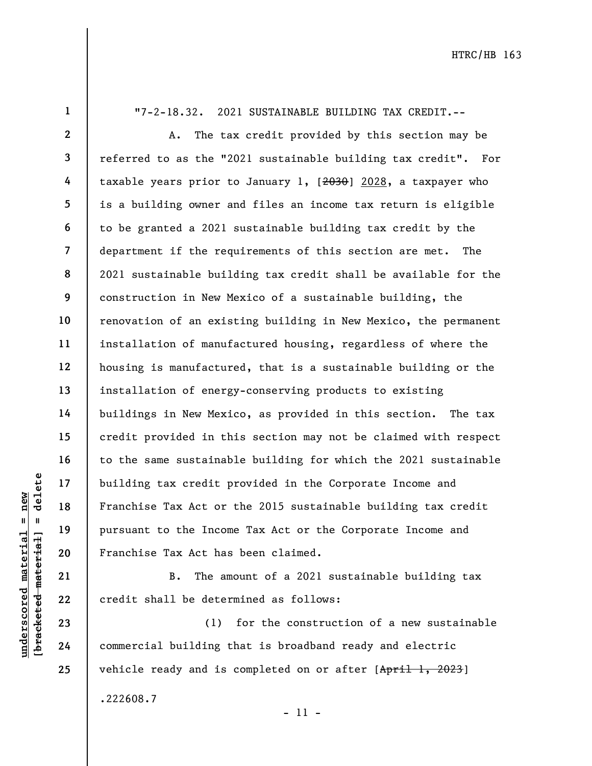1

"7-2-18.32. 2021 SUSTAINABLE BUILDING TAX CREDIT.--

underscored material = new [bracketed material] = delete 2 3 4 5 6 7 8 9 10 11 12 13 14 15 16 17 18 19 20 A. The tax credit provided by this section may be referred to as the "2021 sustainable building tax credit". For taxable years prior to January 1,  $[2030, a$  taxpayer who is a building owner and files an income tax return is eligible to be granted a 2021 sustainable building tax credit by the department if the requirements of this section are met. The 2021 sustainable building tax credit shall be available for the construction in New Mexico of a sustainable building, the renovation of an existing building in New Mexico, the permanent installation of manufactured housing, regardless of where the housing is manufactured, that is a sustainable building or the installation of energy-conserving products to existing buildings in New Mexico, as provided in this section. The tax credit provided in this section may not be claimed with respect to the same sustainable building for which the 2021 sustainable building tax credit provided in the Corporate Income and Franchise Tax Act or the 2015 sustainable building tax credit pursuant to the Income Tax Act or the Corporate Income and Franchise Tax Act has been claimed.

B. The amount of a 2021 sustainable building tax credit shall be determined as follows:

(1) for the construction of a new sustainable commercial building that is broadband ready and electric vehicle ready and is completed on or after [April 1, 2023] .222608.7

- 11 -

21

22

23

24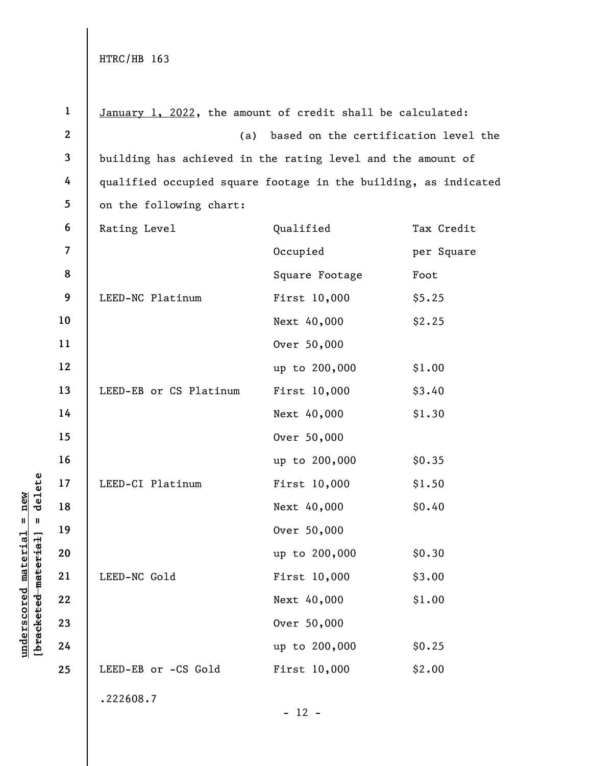| $\mathbf{1}$   | January 1, 2022, the amount of credit shall be calculated:      |                                             |            |  |
|----------------|-----------------------------------------------------------------|---------------------------------------------|------------|--|
| $\mathbf{2}$   |                                                                 | based on the certification level the<br>(a) |            |  |
| $\mathbf{3}$   | building has achieved in the rating level and the amount of     |                                             |            |  |
| 4              | qualified occupied square footage in the building, as indicated |                                             |            |  |
| 5              | on the following chart:                                         |                                             |            |  |
| 6              | Rating Level                                                    | Qualified                                   | Tax Credit |  |
| $\overline{7}$ |                                                                 | Occupied                                    | per Square |  |
| 8              |                                                                 | Square Footage                              | Foot       |  |
| 9              | LEED-NC Platinum                                                | First 10,000                                | \$5.25     |  |
| 10             |                                                                 | Next 40,000                                 | \$2.25     |  |
| 11             |                                                                 | Over 50,000                                 |            |  |
| 12             |                                                                 | up to 200,000                               | \$1.00     |  |
| 13             | LEED-EB or CS Platinum                                          | First 10,000                                | \$3.40     |  |
| 14             |                                                                 | Next 40,000                                 | \$1.30     |  |
| 15             |                                                                 | Over 50,000                                 |            |  |
| 16             |                                                                 | up to 200,000                               | \$0.35     |  |
| 17             | LEED-CI Platinum                                                | First 10,000                                | \$1.50     |  |
| 18             |                                                                 | Next 40,000                                 | \$0.40     |  |
| 19             |                                                                 | Over 50,000                                 |            |  |
| 20             |                                                                 | up to 200,000                               | \$0.30     |  |
| 21             | LEED-NC Gold                                                    | First 10,000                                | \$3.00     |  |
| 22             |                                                                 | Next 40,000                                 | \$1.00     |  |
| 23             |                                                                 | Over 50,000                                 |            |  |
| 24             |                                                                 | up to 200,000                               | \$0.25     |  |
| 25             | LEED-EB or -CS Gold                                             | First 10,000                                | \$2.00     |  |
|                | .222608.7                                                       |                                             |            |  |
|                |                                                                 | $-12 -$                                     |            |  |

 $\frac{\text{underscored material = new}}{\text{beac detected-matter}+\text{d}}$  = delete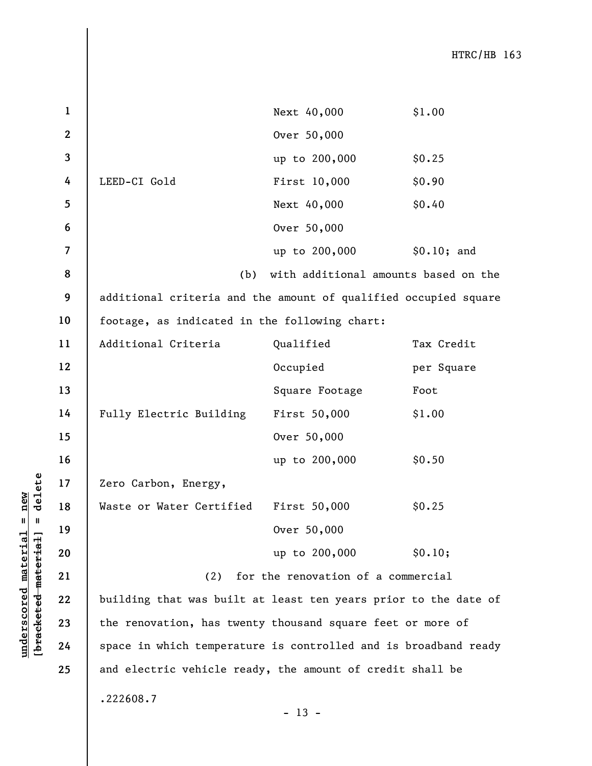under 17<br>
= 18<br>
= 18<br>
= 19<br>
= 19<br>
= 19<br>
= 20<br>
= 21<br>
= 22<br>
= 19<br>
= 22<br>
= 19<br>
= 19<br>
= 19<br>
= 19<br>
= 19<br>
= 19<br>
= 19<br>
= 19<br>
= 19<br>
= 19<br>
= 19<br>
= 19<br>
= 19<br>
= 19<br>
= 19<br>
= 19<br>
= 19<br>
= 19<br>
= 19<br>
= 19<br>
= 19<br>
= 19<br>
= 19<br>
= 19<br>
= 19<br>
= Next 40,000 \$1.00 Over 50,000 up to 200,000 \$0.25 LEED-CI Gold First 10,000 \$0.90 Next 40,000 \$0.40 Over 50,000 up to 200,000 \$0.10; and (b) with additional amounts based on the additional criteria and the amount of qualified occupied square footage, as indicated in the following chart: Additional Criteria Qualified Tax Credit Occupied per Square Square Footage Foot Fully Electric Building First 50,000 \$1.00 Over 50,000 up to 200,000 \$0.50 Zero Carbon, Energy, Waste or Water Certified First 50,000 \$0.25 Over 50,000 up to 200,000 \$0.10; (2) for the renovation of a commercial building that was built at least ten years prior to the date of the renovation, has twenty thousand square feet or more of space in which temperature is controlled and is broadband ready and electric vehicle ready, the amount of credit shall be .222608.7

 $- 13 -$ 

1

2

3

4

5

6

7

8

9

10

11

12

13

14

15

16

17

18

19

20

21

22

23

24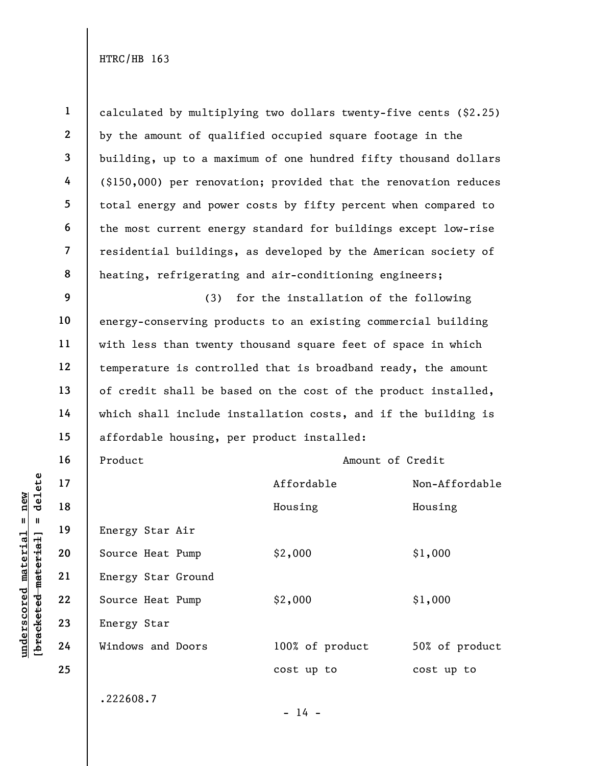UNDEREND MATHEM 19<br>
UNDEREND MATHEM 19<br>
UNDEREND 20<br>
UNDEREND 21<br>
UNDEREND 22<br>
UNDEREND 22<br>
UNDEREND SOURCE Heat Pump<br>
Energy Star Ground<br>
Source Heat Pump<br>
Energy Star Ground<br>
Energy Star<br>
24<br>
UNINOWS and Doors 1 2 3 4 5 6 7 8 9 10 11 12 13 14 15 16 17 18 19 20 21 22 23 24 25 calculated by multiplying two dollars twenty-five cents (\$2.25) by the amount of qualified occupied square footage in the building, up to a maximum of one hundred fifty thousand dollars (\$150,000) per renovation; provided that the renovation reduces total energy and power costs by fifty percent when compared to the most current energy standard for buildings except low-rise residential buildings, as developed by the American society of heating, refrigerating and air-conditioning engineers; (3) for the installation of the following energy-conserving products to an existing commercial building with less than twenty thousand square feet of space in which temperature is controlled that is broadband ready, the amount of credit shall be based on the cost of the product installed, which shall include installation costs, and if the building is affordable housing, per product installed: Product **Amount of Credit** Affordable Non-Affordable Housing Housing Energy Star Air Source Heat Pump  $$2,000$   $$1,000$ Energy Star Ground Source Heat Pump  $$2,000$   $$1,000$ Energy Star Windows and Doors 100% of product 50% of product cost up to cost up to .222608.7  $- 14 -$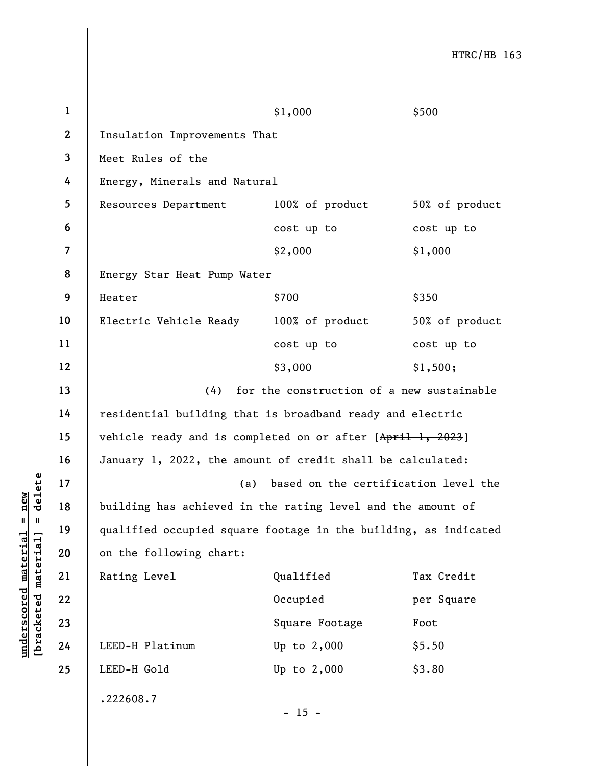|                                                           | $\mathbf{1}$   |                                                                                                                         | \$1,000                                   | \$500          |  |  |
|-----------------------------------------------------------|----------------|-------------------------------------------------------------------------------------------------------------------------|-------------------------------------------|----------------|--|--|
|                                                           | $\mathbf{2}$   | Insulation Improvements That                                                                                            |                                           |                |  |  |
|                                                           | 3              | Meet Rules of the                                                                                                       |                                           |                |  |  |
|                                                           | 4              | Energy, Minerals and Natural                                                                                            |                                           |                |  |  |
|                                                           | 5              | Resources Department                                                                                                    | 100% of product                           | 50% of product |  |  |
|                                                           | 6              |                                                                                                                         | cost up to                                | cost up to     |  |  |
|                                                           | $\overline{7}$ |                                                                                                                         | \$2,000                                   | \$1,000        |  |  |
|                                                           | 8              | Energy Star Heat Pump Water                                                                                             |                                           |                |  |  |
|                                                           | 9              | Heater                                                                                                                  | \$700                                     | \$350          |  |  |
|                                                           | 10             | Electric Vehicle Ready                                                                                                  | 100% of product                           | 50% of product |  |  |
|                                                           | 11             |                                                                                                                         | cost up to                                | cost up to     |  |  |
|                                                           | 12             |                                                                                                                         | \$3,000                                   | \$1,500;       |  |  |
|                                                           | 13             | (4)                                                                                                                     | for the construction of a new sustainable |                |  |  |
|                                                           | 14             | residential building that is broadband ready and electric<br>vehicle ready and is completed on or after [April 1, 2023] |                                           |                |  |  |
|                                                           | 15             |                                                                                                                         |                                           |                |  |  |
|                                                           | 16             | January 1, 2022, the amount of credit shall be calculated:                                                              |                                           |                |  |  |
| delete                                                    | 17             | (a)                                                                                                                     | based on the certification level the      |                |  |  |
| new                                                       | 18             | building has achieved in the rating level and the amount of                                                             |                                           |                |  |  |
| H<br>$\mathbf{I}$                                         | 19             | qualified occupied square footage in the building, as indicated                                                         |                                           |                |  |  |
|                                                           | 20             | on the following chart:                                                                                                 |                                           |                |  |  |
|                                                           | 21             | Rating Level                                                                                                            | Qualified                                 | Tax Credit     |  |  |
| underscored material<br>[ <del>bracketed material</del> ] | 22             |                                                                                                                         | Occupied                                  | per Square     |  |  |
|                                                           | 23             |                                                                                                                         | Square Footage                            | Foot           |  |  |
|                                                           | 24             | LEED-H Platinum                                                                                                         | Up to 2,000                               | \$5.50         |  |  |
|                                                           | 25             | LEED-H Gold                                                                                                             | Up to 2,000                               | \$3.80         |  |  |
|                                                           |                | .222608.7                                                                                                               |                                           |                |  |  |
|                                                           |                |                                                                                                                         | $-15 -$                                   |                |  |  |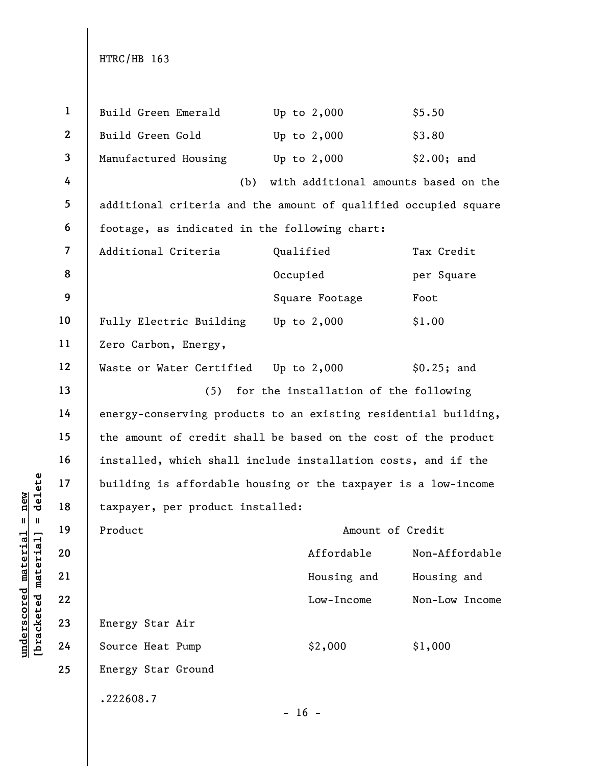| $\mathbf{1}$             | Build Green Emerald                                             | Up to $2,000$                        | \$5.50                                                                                                                                                                                                                                                                       |  |  |
|--------------------------|-----------------------------------------------------------------|--------------------------------------|------------------------------------------------------------------------------------------------------------------------------------------------------------------------------------------------------------------------------------------------------------------------------|--|--|
| $\boldsymbol{2}$         | Build Green Gold                                                | Up to $2,000$                        | \$3.80                                                                                                                                                                                                                                                                       |  |  |
| $\mathbf{3}$             | Manufactured Housing                                            | Up to $2,000$                        | \$2.00; and                                                                                                                                                                                                                                                                  |  |  |
| 4                        | (b)                                                             | with additional amounts based on the |                                                                                                                                                                                                                                                                              |  |  |
| 5                        |                                                                 |                                      |                                                                                                                                                                                                                                                                              |  |  |
| 6                        |                                                                 |                                      |                                                                                                                                                                                                                                                                              |  |  |
| $\overline{\mathcal{L}}$ | Additional Criteria                                             | Qualified                            | Tax Credit                                                                                                                                                                                                                                                                   |  |  |
| 8                        |                                                                 | Occupied                             | per Square                                                                                                                                                                                                                                                                   |  |  |
| 9                        |                                                                 | Square Footage                       | Foot                                                                                                                                                                                                                                                                         |  |  |
| 10                       |                                                                 |                                      | \$1.00                                                                                                                                                                                                                                                                       |  |  |
| 11                       | Zero Carbon, Energy,                                            |                                      |                                                                                                                                                                                                                                                                              |  |  |
| 12                       |                                                                 |                                      | \$0.25; and                                                                                                                                                                                                                                                                  |  |  |
| 13                       | (5)                                                             |                                      |                                                                                                                                                                                                                                                                              |  |  |
| 14                       | energy-conserving products to an existing residential building, |                                      |                                                                                                                                                                                                                                                                              |  |  |
| 15                       | the amount of credit shall be based on the cost of the product  |                                      |                                                                                                                                                                                                                                                                              |  |  |
| 16                       | installed, which shall include installation costs, and if the   |                                      |                                                                                                                                                                                                                                                                              |  |  |
| 17                       | building is affordable housing or the taxpayer is a low-income  |                                      |                                                                                                                                                                                                                                                                              |  |  |
| 18                       |                                                                 |                                      |                                                                                                                                                                                                                                                                              |  |  |
| 19                       | Product                                                         | Amount of Credit                     |                                                                                                                                                                                                                                                                              |  |  |
| 20                       |                                                                 | Affordable                           | Non-Affordable                                                                                                                                                                                                                                                               |  |  |
| 21                       |                                                                 | Housing and                          | Housing and                                                                                                                                                                                                                                                                  |  |  |
| 22                       |                                                                 | Low-Income                           | Non-Low Income                                                                                                                                                                                                                                                               |  |  |
| 23                       | Energy Star Air                                                 |                                      |                                                                                                                                                                                                                                                                              |  |  |
| 24                       | Source Heat Pump                                                | \$2,000                              | \$1,000                                                                                                                                                                                                                                                                      |  |  |
| 25                       | Energy Star Ground                                              |                                      |                                                                                                                                                                                                                                                                              |  |  |
|                          | .222608.7                                                       |                                      |                                                                                                                                                                                                                                                                              |  |  |
|                          |                                                                 | $-16 -$                              |                                                                                                                                                                                                                                                                              |  |  |
| material                 |                                                                 |                                      | additional criteria and the amount of qualified occupied square<br>footage, as indicated in the following chart:<br>Fully Electric Building Up to 2,000<br>Waste or Water Certified Up to 2,000<br>for the installation of the following<br>taxpayer, per product installed: |  |  |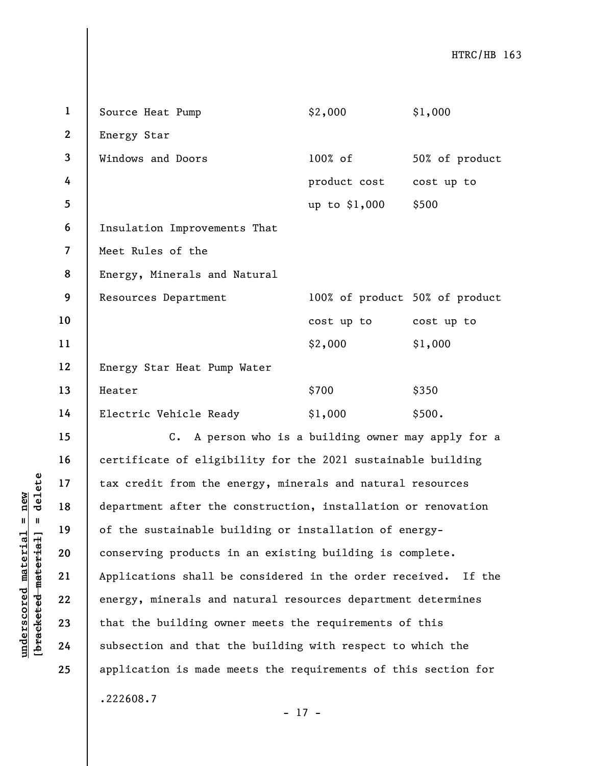| $\mathbf{1}$   | Source Heat Pump                                                  | \$2,000                        | \$1,000        |
|----------------|-------------------------------------------------------------------|--------------------------------|----------------|
| $\mathbf{2}$   | Energy Star                                                       |                                |                |
| $\mathbf{3}$   | Windows and Doors                                                 | $100\%$ of                     | 50% of product |
| 4              |                                                                   | product cost                   | cost up to     |
| $\overline{5}$ |                                                                   | up to \$1,000                  | \$500          |
| 6              | Insulation Improvements That                                      |                                |                |
| $\overline{7}$ | Meet Rules of the                                                 |                                |                |
| 8              | Energy, Minerals and Natural                                      |                                |                |
| 9              | Resources Department                                              | 100% of product 50% of product |                |
| 10             |                                                                   | cost up to cost up to          |                |
| 11             |                                                                   | \$2,000                        | \$1,000        |
| 12             | Energy Star Heat Pump Water                                       |                                |                |
| 13             | Heater                                                            | \$700                          | \$350          |
| 14             | Electric Vehicle Ready                                            | \$1,000                        | \$500.         |
| 15             | A person who is a building owner may apply for a<br>$c_{\bullet}$ |                                |                |
| 16             | certificate of eligibility for the 2021 sustainable building      |                                |                |
| 17             | tax credit from the energy, minerals and natural resources        |                                |                |
| 18             | department after the construction, installation or renovation     |                                |                |
| 19             | of the sustainable building or installation of energy-            |                                |                |
| 20             | conserving products in an existing building is complete.          |                                |                |

21

22

23

24

25

understand material material external material department after the<br>department after the<br>department after the<br>of the sustainable bu<br>conserving products i<br>applications shall be<br>energy, minerals and<br>that the building own<br>mat conserving products in an existing building is complete. Applications shall be considered in the order received. If the energy, minerals and natural resources department determines that the building owner meets the requirements of this subsection and that the building with respect to which the application is made meets the requirements of this section for .222608.7

- 17 -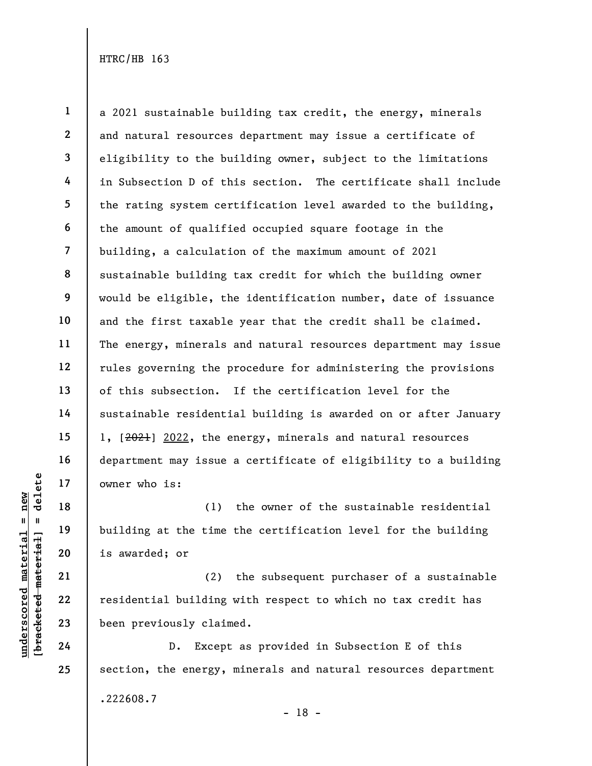1 2 3 4 5 6 7 8 9 10 11 12 13 14 15 16 17 a 2021 sustainable building tax credit, the energy, minerals and natural resources department may issue a certificate of eligibility to the building owner, subject to the limitations in Subsection D of this section. The certificate shall include the rating system certification level awarded to the building, the amount of qualified occupied square footage in the building, a calculation of the maximum amount of 2021 sustainable building tax credit for which the building owner would be eligible, the identification number, date of issuance and the first taxable year that the credit shall be claimed. The energy, minerals and natural resources department may issue rules governing the procedure for administering the provisions of this subsection. If the certification level for the sustainable residential building is awarded on or after January 1, [2021] 2022, the energy, minerals and natural resources department may issue a certificate of eligibility to a building owner who is:

understand material material points.<br>
We can also the set of the set of the set of the set of the set of the set of the set of the set of the set of the set of the set of the set of the set of the set of the set of the set (1) the owner of the sustainable residential building at the time the certification level for the building is awarded; or

(2) the subsequent purchaser of a sustainable residential building with respect to which no tax credit has been previously claimed.

D. Except as provided in Subsection E of this section, the energy, minerals and natural resources department .222608.7

18

19

20

21

22

23

24

25

- 18 -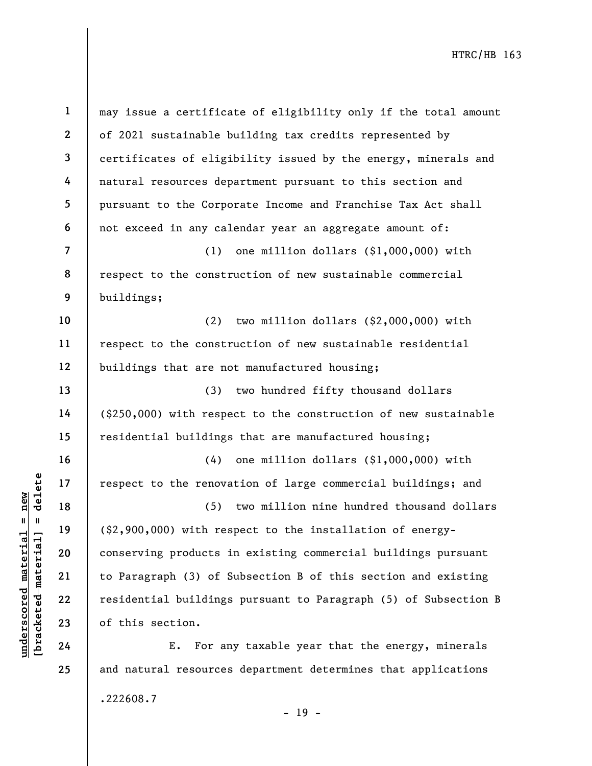|                     | $\mathbf 1$    | may issue a certificate of eligibility only if the total amount |
|---------------------|----------------|-----------------------------------------------------------------|
|                     | $\mathbf{2}$   | of 2021 sustainable building tax credits represented by         |
|                     | 3              | certificates of eligibility issued by the energy, minerals and  |
|                     | 4              | natural resources department pursuant to this section and       |
|                     | 5              | pursuant to the Corporate Income and Franchise Tax Act shall    |
|                     | 6              | not exceed in any calendar year an aggregate amount of:         |
|                     | $\overline{7}$ | one million dollars (\$1,000,000) with<br>(1)                   |
|                     | 8              | respect to the construction of new sustainable commercial       |
|                     | 9              | buildings;                                                      |
|                     | 10             | two million dollars (\$2,000,000) with<br>(2)                   |
|                     | 11             | respect to the construction of new sustainable residential      |
|                     | 12             | buildings that are not manufactured housing;                    |
|                     | 13             | two hundred fifty thousand dollars<br>(3)                       |
|                     | 14             | (\$250,000) with respect to the construction of new sustainable |
|                     | 15             | residential buildings that are manufactured housing;            |
|                     | 16             | one million dollars (\$1,000,000) with<br>(4)                   |
| delete              | 17             | respect to the renovation of large commercial buildings; and    |
| new                 | 18             | two million nine hundred thousand dollars<br>(5)                |
| $\pmb{\mathsf{II}}$ | 19             | (\$2,900,000) with respect to the installation of energy-       |
| materia<br>material | 20             | conserving products in existing commercial buildings pursuant   |
|                     | 21             | to Paragraph (3) of Subsection B of this section and existing   |
|                     | 22             | residential buildings pursuant to Paragraph (5) of Subsection B |
| [bracketed          | 23             | of this section.                                                |
| underscored         | 24             | For any taxable year that the energy, minerals<br>Ε.            |
|                     | 25             | and natural resources department determines that applications   |

.222608.7

- 19 -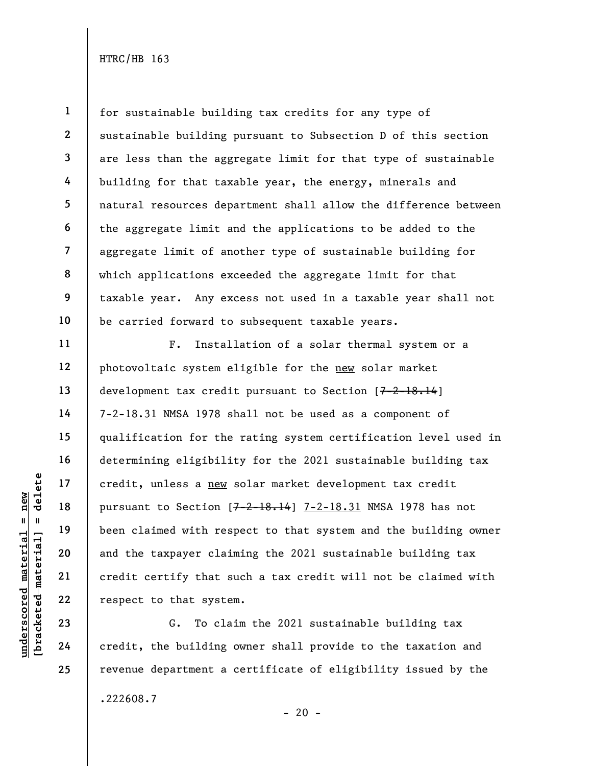1 2 3 4 5 6 7 8 9 10 for sustainable building tax credits for any type of sustainable building pursuant to Subsection D of this section are less than the aggregate limit for that type of sustainable building for that taxable year, the energy, minerals and natural resources department shall allow the difference between the aggregate limit and the applications to be added to the aggregate limit of another type of sustainable building for which applications exceeded the aggregate limit for that taxable year. Any excess not used in a taxable year shall not be carried forward to subsequent taxable years.

underscored material = new [bracketed material] = delete F. Installation of a solar thermal system or a photovoltaic system eligible for the new solar market development tax credit pursuant to Section [7-2-18.14] 7-2-18.31 NMSA 1978 shall not be used as a component of qualification for the rating system certification level used in determining eligibility for the 2021 sustainable building tax credit, unless a new solar market development tax credit pursuant to Section  $[7-2-18.14]$  7-2-18.31 NMSA 1978 has not been claimed with respect to that system and the building owner and the taxpayer claiming the 2021 sustainable building tax credit certify that such a tax credit will not be claimed with respect to that system.

G. To claim the 2021 sustainable building tax credit, the building owner shall provide to the taxation and revenue department a certificate of eligibility issued by the .222608.7

 $- 20 -$ 

11

12

13

14

15

16

17

18

19

20

21

22

23

24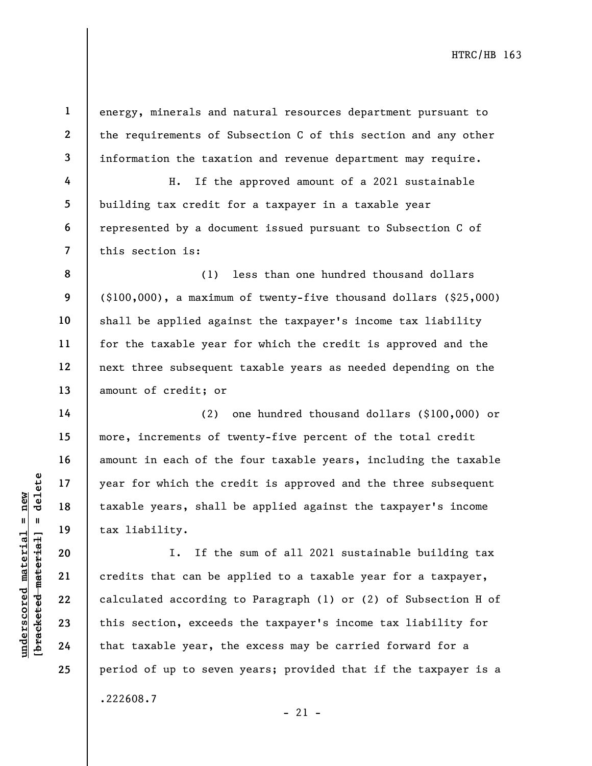energy, minerals and natural resources department pursuant to the requirements of Subsection C of this section and any other information the taxation and revenue department may require.

H. If the approved amount of a 2021 sustainable building tax credit for a taxpayer in a taxable year represented by a document issued pursuant to Subsection C of this section is:

(1) less than one hundred thousand dollars (\$100,000), a maximum of twenty-five thousand dollars (\$25,000) shall be applied against the taxpayer's income tax liability for the taxable year for which the credit is approved and the next three subsequent taxable years as needed depending on the amount of credit; or

(2) one hundred thousand dollars (\$100,000) or more, increments of twenty-five percent of the total credit amount in each of the four taxable years, including the taxable year for which the credit is approved and the three subsequent taxable years, shall be applied against the taxpayer's income tax liability.

understand material of the credit of the credit of the credit of the credit of the credit of the credit of the credit of the credit of the credit of the credit of the credit of the credit of the credit of the credit of the I. If the sum of all 2021 sustainable building tax credits that can be applied to a taxable year for a taxpayer, calculated according to Paragraph (1) or (2) of Subsection H of this section, exceeds the taxpayer's income tax liability for that taxable year, the excess may be carried forward for a period of up to seven years; provided that if the taxpayer is a .222608.7

1

2

3

4

5

6

7

8

9

10

11

12

13

14

15

16

17

18

19

20

21

22

23

24

25

 $-21 -$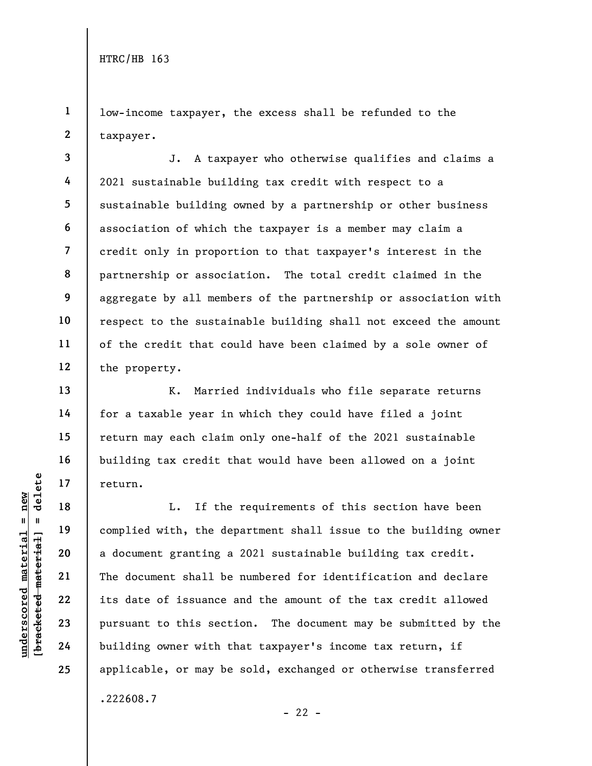1 2 low-income taxpayer, the excess shall be refunded to the taxpayer.

3 4 5 6 7 8 9 10 11 12 J. A taxpayer who otherwise qualifies and claims a 2021 sustainable building tax credit with respect to a sustainable building owned by a partnership or other business association of which the taxpayer is a member may claim a credit only in proportion to that taxpayer's interest in the partnership or association. The total credit claimed in the aggregate by all members of the partnership or association with respect to the sustainable building shall not exceed the amount of the credit that could have been claimed by a sole owner of the property.

K. Married individuals who file separate returns for a taxable year in which they could have filed a joint return may each claim only one-half of the 2021 sustainable building tax credit that would have been allowed on a joint return.

underscored material = new [bracketed material] = delete L. If the requirements of this section have been complied with, the department shall issue to the building owner a document granting a 2021 sustainable building tax credit. The document shall be numbered for identification and declare its date of issuance and the amount of the tax credit allowed pursuant to this section. The document may be submitted by the building owner with that taxpayer's income tax return, if applicable, or may be sold, exchanged or otherwise transferred .222608.7

13

14

15

16

17

18

19

20

21

22

23

24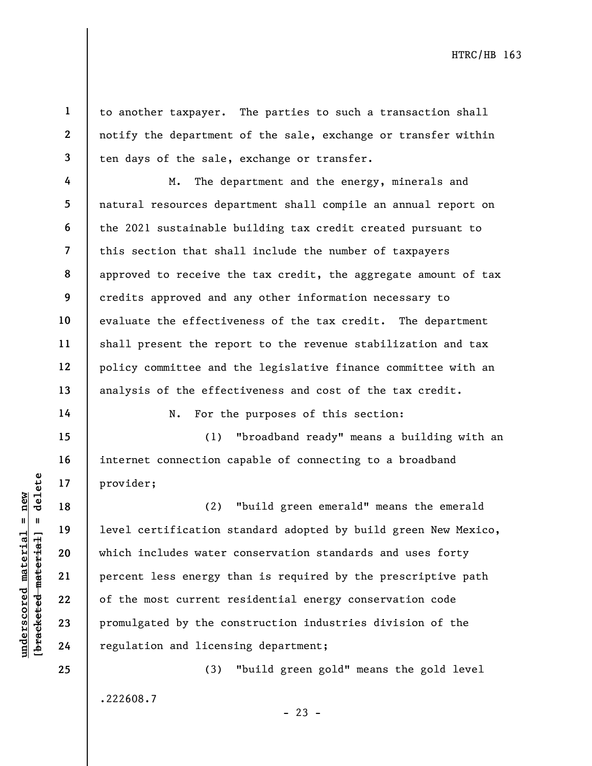to another taxpayer. The parties to such a transaction shall notify the department of the sale, exchange or transfer within ten days of the sale, exchange or transfer.

M. The department and the energy, minerals and natural resources department shall compile an annual report on the 2021 sustainable building tax credit created pursuant to this section that shall include the number of taxpayers approved to receive the tax credit, the aggregate amount of tax credits approved and any other information necessary to evaluate the effectiveness of the tax credit. The department shall present the report to the revenue stabilization and tax policy committee and the legislative finance committee with an analysis of the effectiveness and cost of the tax credit.

N. For the purposes of this section:

(1) "broadband ready" means a building with an internet connection capable of connecting to a broadband provider;

underscored material material and the set of the most current regulation and licens<br>gradient 23 promulgated by the control of the most current regulation<br>of the most current regulation and licens<br>example 24 regulation and (2) "build green emerald" means the emerald level certification standard adopted by build green New Mexico, which includes water conservation standards and uses forty percent less energy than is required by the prescriptive path of the most current residential energy conservation code promulgated by the construction industries division of the regulation and licensing department;

> (3) "build green gold" means the gold level .222608.7  $- 23 -$

24 25

1

2

3

4

5

6

7

8

9

10

11

12

13

14

15

16

17

18

19

20

21

22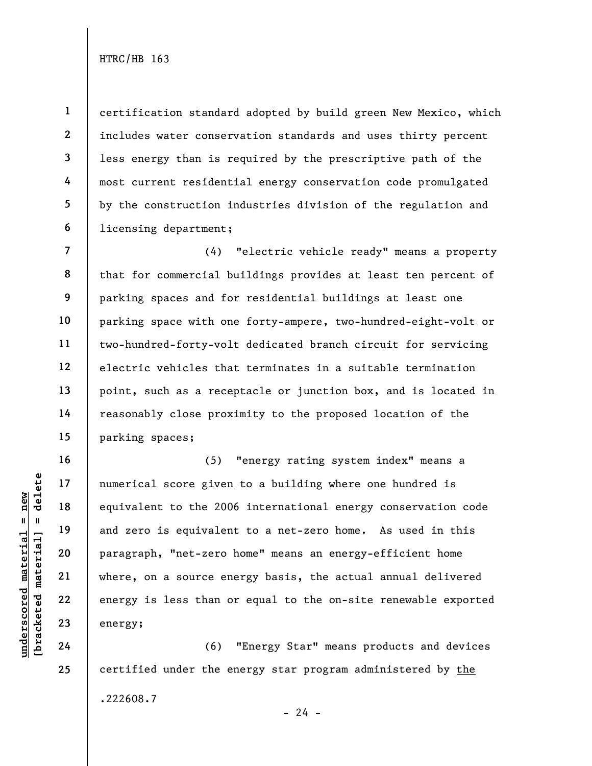1

4

5

6

16

17

18

19

20

21

22

23

24

25

2 3 certification standard adopted by build green New Mexico, which includes water conservation standards and uses thirty percent less energy than is required by the prescriptive path of the most current residential energy conservation code promulgated by the construction industries division of the regulation and licensing department;

7 8 9 10 11 12 13 14 15 (4) "electric vehicle ready" means a property that for commercial buildings provides at least ten percent of parking spaces and for residential buildings at least one parking space with one forty-ampere, two-hundred-eight-volt or two-hundred-forty-volt dedicated branch circuit for servicing electric vehicles that terminates in a suitable termination point, such as a receptacle or junction box, and is located in reasonably close proximity to the proposed location of the parking spaces;

understand material score given<br>  $\begin{bmatrix}\n1 & 1 & 1 & 1 \\
0 & 1 & 1 & 1 & 1 \\
0 & 0 & 0 & 0 & 0 \\
0 & 0 & 0 & 0 & 0 \\
0 & 0 & 0 & 0 & 0 \\
0 & 0 & 0 & 0 & 0 \\
0 & 0 & 0 & 0 & 0 \\
0 & 0 & 0 & 0 & 0 \\
0 & 0 & 0 & 0 & 0 \\
0 & 0 & 0 & 0 & 0 \\
0 & 0 & 0 & 0 & 0 \\
0 & 0 & 0 & 0 & 0 \\
0 & 0 & 0 & 0 & 0 \\
0 &$ (5) "energy rating system index" means a numerical score given to a building where one hundred is equivalent to the 2006 international energy conservation code and zero is equivalent to a net-zero home. As used in this paragraph, "net-zero home" means an energy-efficient home where, on a source energy basis, the actual annual delivered energy is less than or equal to the on-site renewable exported energy;

(6) "Energy Star" means products and devices certified under the energy star program administered by the .222608.7

 $- 24 -$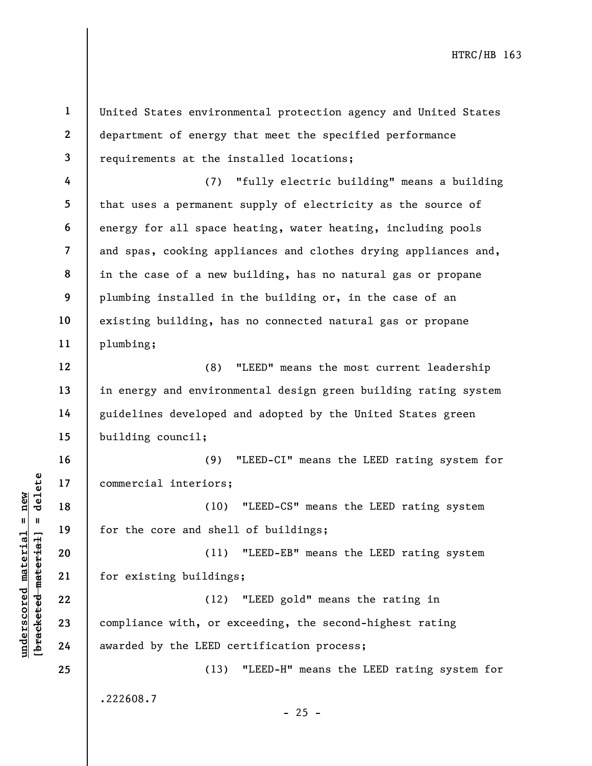understand material interiors;<br>  $\begin{bmatrix}\n1 & 1 & 1 & 1 \\
0 & 1 & 1 & 1 & 1 \\
0 & 0 & 0 & 0 & 0 \\
0 & 0 & 0 & 0 & 0 \\
0 & 0 & 0 & 0 & 0 \\
0 & 0 & 0 & 0 & 0 \\
0 & 0 & 0 & 0 & 0 \\
0 & 0 & 0 & 0 & 0 \\
0 & 0 & 0 & 0 & 0 \\
0 & 0 & 0 & 0 & 0 \\
0 & 0 & 0 & 0 & 0 \\
0 & 0 & 0 & 0 & 0 \\
0 & 0 & 0 & 0 & 0 \\
0 &$ 1 2 3 4 5 6 7 8 9 10 11 12 13 14 15 16 17 18 19 20 21 22 23 24 25 United States environmental protection agency and United States department of energy that meet the specified performance requirements at the installed locations; (7) "fully electric building" means a building that uses a permanent supply of electricity as the source of energy for all space heating, water heating, including pools and spas, cooking appliances and clothes drying appliances and, in the case of a new building, has no natural gas or propane plumbing installed in the building or, in the case of an existing building, has no connected natural gas or propane plumbing; (8) "LEED" means the most current leadership in energy and environmental design green building rating system guidelines developed and adopted by the United States green building council; (9) "LEED-CI" means the LEED rating system for commercial interiors; (10) "LEED-CS" means the LEED rating system for the core and shell of buildings; (11) "LEED-EB" means the LEED rating system for existing buildings; (12) "LEED gold" means the rating in compliance with, or exceeding, the second-highest rating awarded by the LEED certification process; (13) "LEED-H" means the LEED rating system for .222608.7  $- 25 -$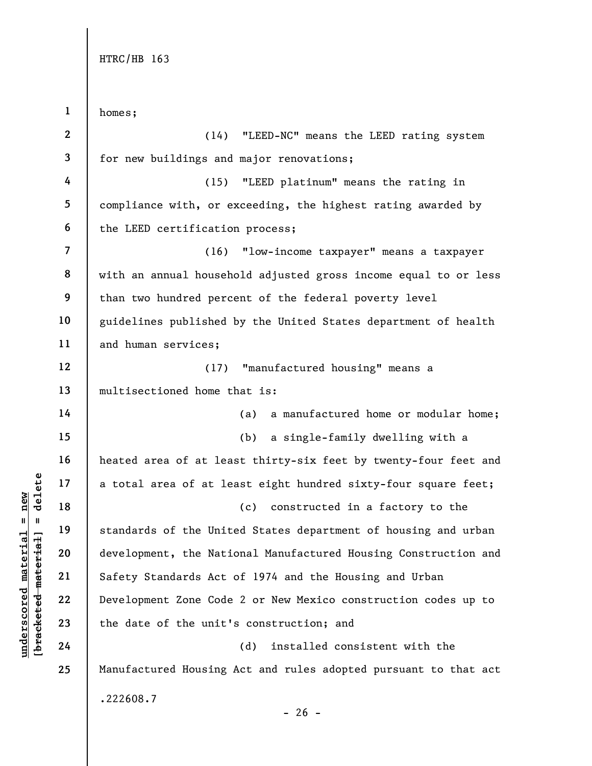underscored material and the Unit of the Unit of the Unit of the Unit of the Unit of the Unit of the Unit of the Unit of the Nati Safety Standards Act Development Zone Code the date of the unit'<br>and the date of the unit'<br>a 1 2 3 4 5 6 7 8 9 10 11 12 13 14 15 16 17 18 19 20 21 22 23 24 25 homes; (14) "LEED-NC" means the LEED rating system for new buildings and major renovations; (15) "LEED platinum" means the rating in compliance with, or exceeding, the highest rating awarded by the LEED certification process; (16) "low-income taxpayer" means a taxpayer with an annual household adjusted gross income equal to or less than two hundred percent of the federal poverty level guidelines published by the United States department of health and human services; (17) "manufactured housing" means a multisectioned home that is: (a) a manufactured home or modular home; (b) a single-family dwelling with a heated area of at least thirty-six feet by twenty-four feet and a total area of at least eight hundred sixty-four square feet; (c) constructed in a factory to the standards of the United States department of housing and urban development, the National Manufactured Housing Construction and Safety Standards Act of 1974 and the Housing and Urban Development Zone Code 2 or New Mexico construction codes up to the date of the unit's construction; and (d) installed consistent with the Manufactured Housing Act and rules adopted pursuant to that act .222608.7

 $- 26 -$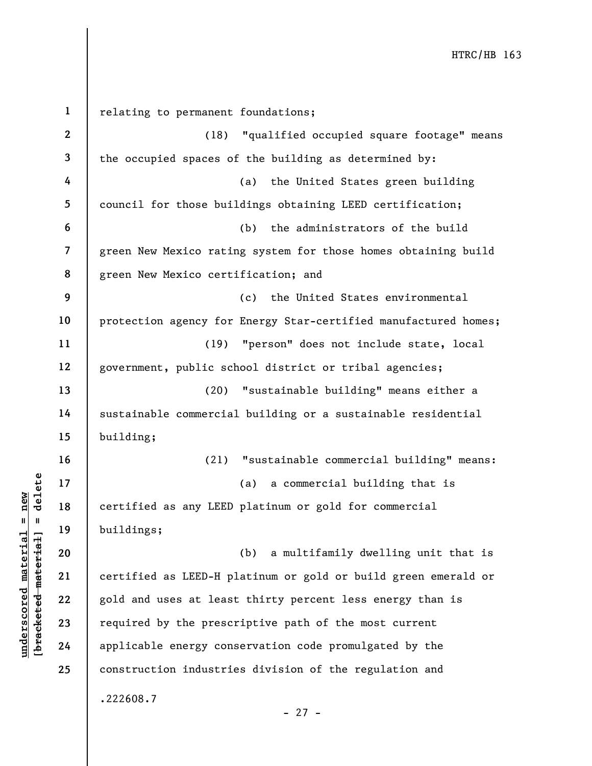UN DERECTED 18<br>
UN DERECTED 18<br>
UN DERECTED 19<br>
UN DERECTED 19<br>
UN DERECTED 20<br>
UN DERECTED 21<br>
UN DERECTED 22<br>
UN DERECTED 22<br>
UN DERECTED 19<br>
UN DERECTED 19<br>
UN DERECTED 19<br>
UN DERECTED 19<br>
UN DERECTED 19<br>
UN DERECTED 19 1 2 3 4 5 6 7 8 9 10 11 12 13 14 15 16 17 18 19 20 21 22 23 24 25 relating to permanent foundations; (18) "qualified occupied square footage" means the occupied spaces of the building as determined by: (a) the United States green building council for those buildings obtaining LEED certification; (b) the administrators of the build green New Mexico rating system for those homes obtaining build green New Mexico certification; and (c) the United States environmental protection agency for Energy Star-certified manufactured homes; (19) "person" does not include state, local government, public school district or tribal agencies; (20) "sustainable building" means either a sustainable commercial building or a sustainable residential building; (21) "sustainable commercial building" means: (a) a commercial building that is certified as any LEED platinum or gold for commercial buildings; (b) a multifamily dwelling unit that is certified as LEED-H platinum or gold or build green emerald or gold and uses at least thirty percent less energy than is required by the prescriptive path of the most current applicable energy conservation code promulgated by the construction industries division of the regulation and .222608.7 - 27 -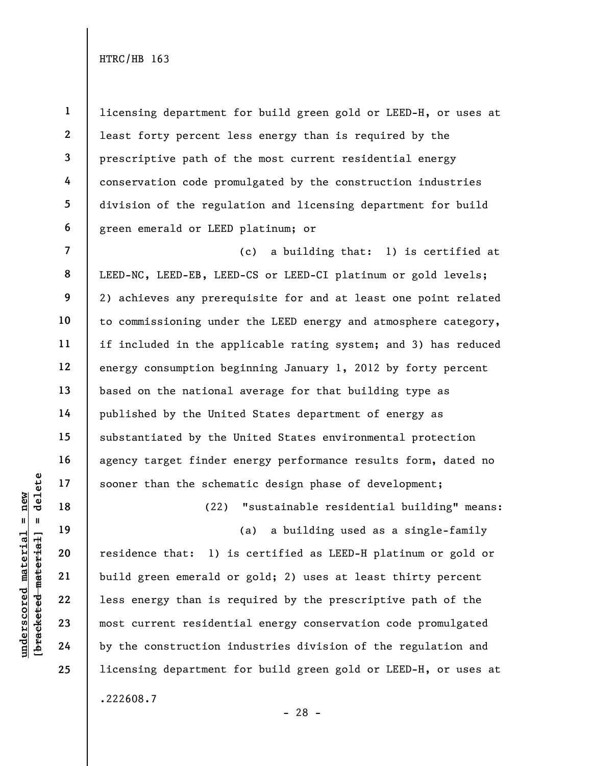1 2 3 4 5 6 licensing department for build green gold or LEED-H, or uses at least forty percent less energy than is required by the prescriptive path of the most current residential energy conservation code promulgated by the construction industries division of the regulation and licensing department for build green emerald or LEED platinum; or

8 9 12 (c) a building that: 1) is certified at LEED-NC, LEED-EB, LEED-CS or LEED-CI platinum or gold levels; 2) achieves any prerequisite for and at least one point related to commissioning under the LEED energy and atmosphere category, if included in the applicable rating system; and 3) has reduced energy consumption beginning January 1, 2012 by forty percent based on the national average for that building type as published by the United States department of energy as substantiated by the United States environmental protection agency target finder energy performance results form, dated no sooner than the schematic design phase of development;

(22) "sustainable residential building" means:

(a) a building used as a single-family

understand material material of the schem<br>  $\begin{bmatrix}\n1 & 1 & 1 & 1 \\
0 & 1 & 1 & 1 & 1 \\
0 & 0 & 0 & 0 & 0 \\
0 & 0 & 0 & 0 & 0 \\
0 & 0 & 0 & 0 & 0 \\
0 & 0 & 0 & 0 & 0 \\
0 & 0 & 0 & 0 & 0 \\
0 & 0 & 0 & 0 & 0 \\
0 & 0 & 0 & 0 & 0 \\
0 & 0 & 0 & 0 & 0 \\
0 & 0 & 0 & 0 & 0 \\
0 & 0 & 0 & 0 & 0 \\
0 & 0 &$ residence that: 1) is certified as LEED-H platinum or gold or build green emerald or gold; 2) uses at least thirty percent less energy than is required by the prescriptive path of the most current residential energy conservation code promulgated by the construction industries division of the regulation and licensing department for build green gold or LEED-H, or uses at .222608.7

7

10

11

13

14

15

16

17

18

19

20

21

22

23

24

25

- 28 -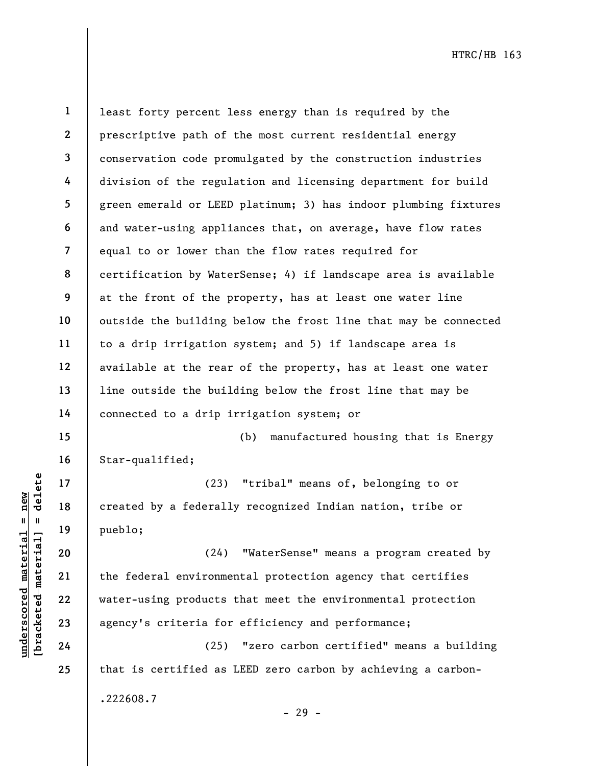15

16

17

18

19

20

21

22

23

24

25

1 2 3 4 5 6 7 8 9 10 11 12 13 14 least forty percent less energy than is required by the prescriptive path of the most current residential energy conservation code promulgated by the construction industries division of the regulation and licensing department for build green emerald or LEED platinum; 3) has indoor plumbing fixtures and water-using appliances that, on average, have flow rates equal to or lower than the flow rates required for certification by WaterSense; 4) if landscape area is available at the front of the property, has at least one water line outside the building below the frost line that may be connected to a drip irrigation system; and 5) if landscape area is available at the rear of the property, has at least one water line outside the building below the frost line that may be connected to a drip irrigation system; or

(b) manufactured housing that is Energy Star-qualified;

(23) "tribal" means of, belonging to or created by a federally recognized Indian nation, tribe or pueblo;

underscored material and the federal material pueblo;<br>
which is a selected material pueblo;<br>
which is a selected material environment<br>
which is a selected material environment<br>
which is a selected material environment<br>
whi (24) "WaterSense" means a program created by the federal environmental protection agency that certifies water-using products that meet the environmental protection agency's criteria for efficiency and performance;

(25) "zero carbon certified" means a building that is certified as LEED zero carbon by achieving a carbon- .222608.7 - 29 -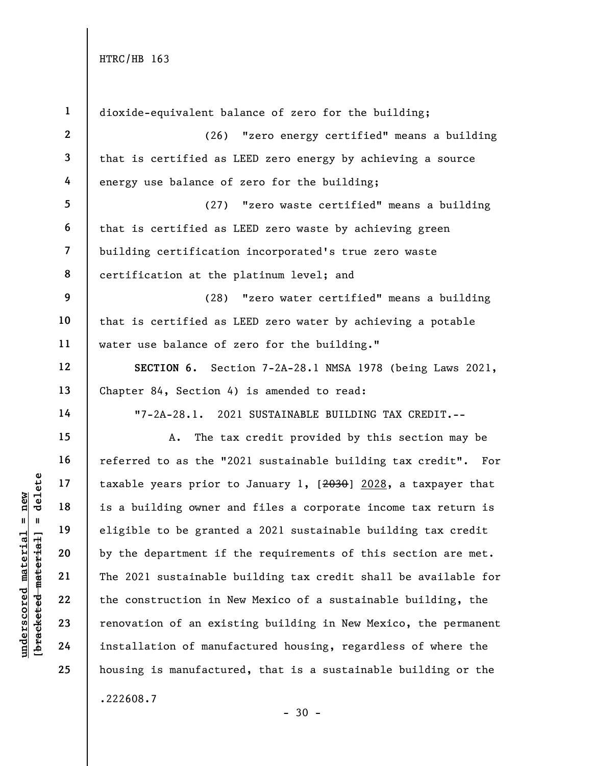| $\mathbf{1}$             | dioxide-equivalent balance of zero for the building;            |
|--------------------------|-----------------------------------------------------------------|
| $\mathbf{2}$             | (26) "zero energy certified" means a building                   |
| $\mathbf{3}$             | that is certified as LEED zero energy by achieving a source     |
| 4                        | energy use balance of zero for the building;                    |
| $5\phantom{.0}$          | "zero waste certified" means a building<br>(27)                 |
| 6                        | that is certified as LEED zero waste by achieving green         |
| $\overline{\phantom{a}}$ | building certification incorporated's true zero waste           |
| 8                        | certification at the platinum level; and                        |
| 9                        | (28) "zero water certified" means a building                    |
| 10                       | that is certified as LEED zero water by achieving a potable     |
| 11                       | water use balance of zero for the building."                    |
| 12                       | SECTION 6. Section 7-2A-28.1 NMSA 1978 (being Laws 2021,        |
| 13                       | Chapter 84, Section 4) is amended to read:                      |
| 14                       | "7-2A-28.1. 2021 SUSTAINABLE BUILDING TAX CREDIT.--             |
| 15                       | The tax credit provided by this section may be<br>Α.            |
| 16                       | referred to as the "2021 sustainable building tax credit". For  |
| 17                       | taxable years prior to January 1, [2030] 2028, a taxpayer that  |
| 18                       | is a building owner and files a corporate income tax return is  |
| 19                       | eligible to be granted a 2021 sustainable building tax credit   |
| 20                       | by the department if the requirements of this section are met.  |
| 21                       | The 2021 sustainable building tax credit shall be available for |
| 22                       | the construction in New Mexico of a sustainable building, the   |
| 23                       | renovation of an existing building in New Mexico, the permanent |
| 24                       | installation of manufactured housing, regardless of where the   |
| 25                       | housing is manufactured, that is a sustainable building or the  |
|                          | .222608.7                                                       |

 $\frac{\text{underscored material = new}}{\text{beac detected-matter}+\text{d}}$  = delete

- 30 -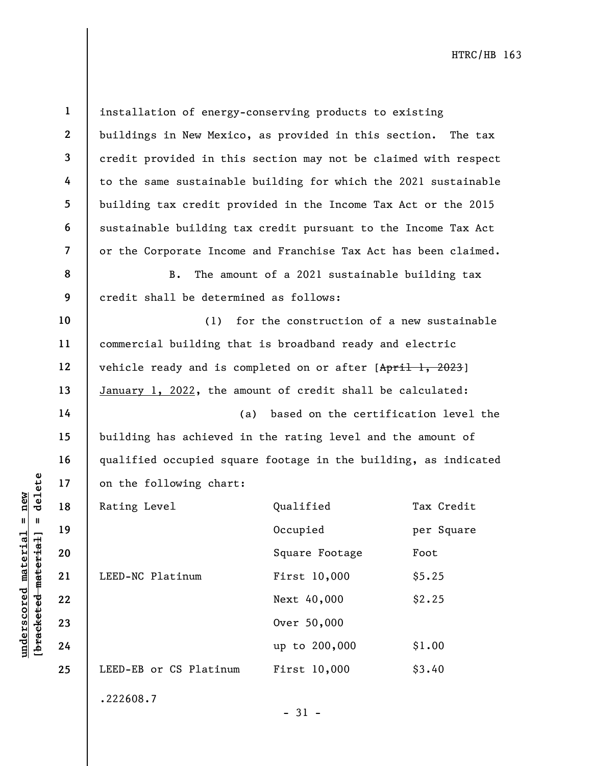| $\mathbf{1}$             | installation of energy-conserving products to existing          |                                               |            |
|--------------------------|-----------------------------------------------------------------|-----------------------------------------------|------------|
| $\mathbf{2}$             | buildings in New Mexico, as provided in this section. The tax   |                                               |            |
| $\mathbf{3}$             | credit provided in this section may not be claimed with respect |                                               |            |
| 4                        | to the same sustainable building for which the 2021 sustainable |                                               |            |
| 5                        | building tax credit provided in the Income Tax Act or the 2015  |                                               |            |
| 6                        | sustainable building tax credit pursuant to the Income Tax Act  |                                               |            |
| $\overline{\mathcal{L}}$ | or the Corporate Income and Franchise Tax Act has been claimed. |                                               |            |
| 8                        | В.                                                              | The amount of a 2021 sustainable building tax |            |
| 9                        | credit shall be determined as follows:                          |                                               |            |
| 10                       | (1)                                                             | for the construction of a new sustainable     |            |
| 11                       | commercial building that is broadband ready and electric        |                                               |            |
| 12                       | vehicle ready and is completed on or after [April 1, 2023]      |                                               |            |
| 13                       | January 1, 2022, the amount of credit shall be calculated:      |                                               |            |
| 14                       | based on the certification level the<br>(a)                     |                                               |            |
| 15                       | building has achieved in the rating level and the amount of     |                                               |            |
| 16                       | qualified occupied square footage in the building, as indicated |                                               |            |
| 17                       | on the following chart:                                         |                                               |            |
| 18                       | Rating Level                                                    | Qualified                                     | Tax Credit |
| 19                       |                                                                 | Occupied                                      | per Square |
| 20                       |                                                                 | Square Footage                                | Foot       |
| 21                       | LEED-NC Platinum                                                | First 10,000                                  | \$5.25     |
| 22                       |                                                                 | Next 40,000                                   | \$2.25     |
| 23                       |                                                                 | Over 50,000                                   |            |
| 24                       |                                                                 | up to 200,000                                 | \$1.00     |
| 25                       | LEED-EB or CS Platinum                                          | First 10,000                                  | \$3.40     |
|                          | .222608.7                                                       |                                               |            |
|                          |                                                                 | $-31 -$                                       |            |

 $\frac{\text{underscored material = new}}{\text{theredef} + \text{theref}}$  = delete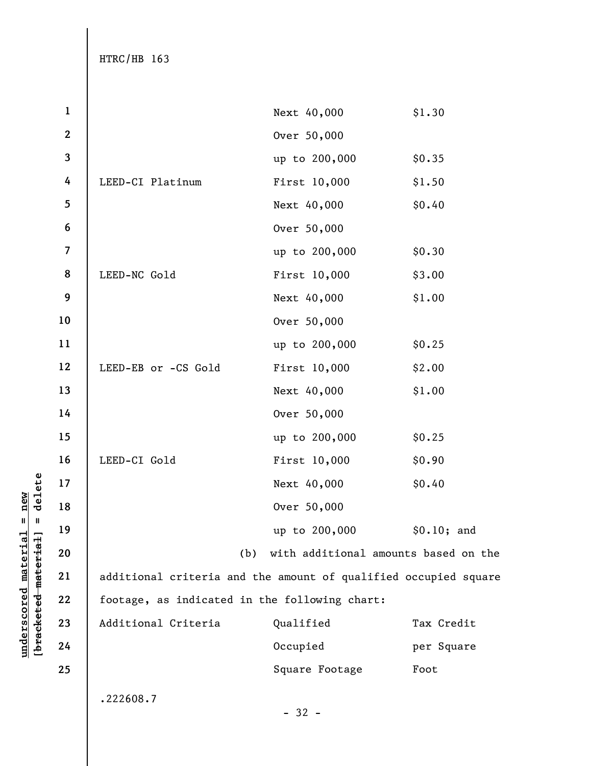| $\mathbf 1$             |                                                                 | Next 40,000                          | \$1.30      |
|-------------------------|-----------------------------------------------------------------|--------------------------------------|-------------|
| $\mathbf{2}$            |                                                                 | Over 50,000                          |             |
| $\overline{\mathbf{3}}$ |                                                                 | up to 200,000                        | \$0.35      |
| 4                       | LEED-CI Platinum                                                | First 10,000                         | \$1.50      |
| 5                       |                                                                 | Next 40,000                          | \$0.40      |
| $\bf 6$                 |                                                                 | Over 50,000                          |             |
| $\overline{\mathbf{z}}$ |                                                                 | up to 200,000                        | \$0.30      |
| 8                       | LEED-NC Gold                                                    | First 10,000                         | \$3.00      |
| $\boldsymbol{9}$        |                                                                 | Next 40,000                          | \$1.00      |
| 10                      |                                                                 | Over 50,000                          |             |
| 11                      |                                                                 | up to 200,000                        | \$0.25      |
| 12                      | LEED-EB or -CS Gold                                             | First 10,000                         | \$2.00      |
| 13                      |                                                                 | Next 40,000                          | \$1.00      |
| 14                      |                                                                 | Over 50,000                          |             |
| 15                      |                                                                 | up to 200,000                        | \$0.25      |
| 16                      | LEED-CI Gold                                                    | First 10,000                         | \$0.90      |
| 17                      |                                                                 | Next 40,000                          | \$0.40      |
| 18                      |                                                                 | Over 50,000                          |             |
| 19                      |                                                                 | up to 200,000                        | \$0.10; and |
| 20                      | (b)                                                             | with additional amounts based on the |             |
| 21                      | additional criteria and the amount of qualified occupied square |                                      |             |
| 22                      | footage, as indicated in the following chart:                   |                                      |             |
| 23                      | Additional Criteria                                             | Qualified                            | Tax Credit  |
| 24                      |                                                                 | Occupied                             | per Square  |
| 25                      |                                                                 | Square Footage                       | Foot        |
|                         | .222608.7                                                       |                                      |             |
|                         |                                                                 | $-32 -$                              |             |

 $\frac{\text{underscored material = new}}{\text{b*aeeketed-material}}$  = delete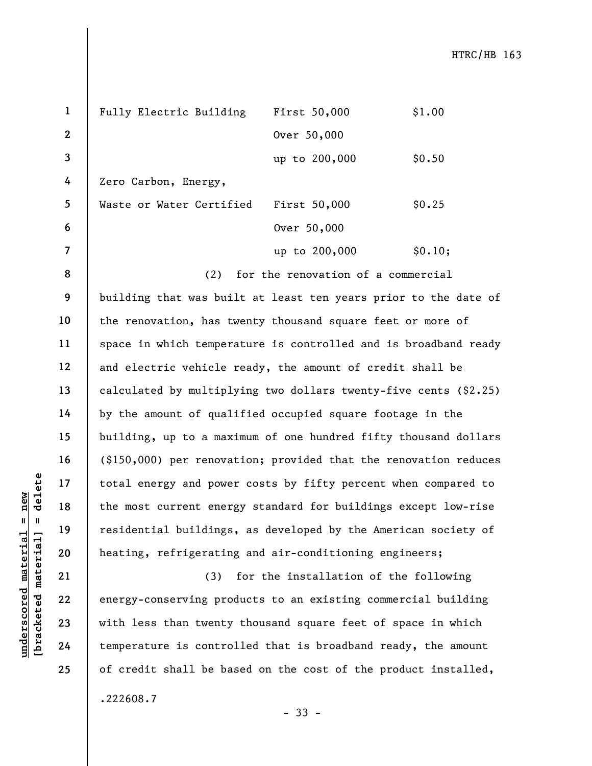| $\mathbf{1}$   | Fully Electric Building  | First 50,000  | \$1.00  |
|----------------|--------------------------|---------------|---------|
| $\overline{2}$ |                          | Over 50,000   |         |
| $\overline{3}$ |                          | up to 200,000 | \$0.50  |
| 4              | Zero Carbon, Energy,     |               |         |
| 5              | Waste or Water Certified | First 50,000  | \$0.25  |
| 6              |                          | Over 50,000   |         |
| $\overline{7}$ |                          | up to 200,000 | \$0.10; |

(2) for the renovation of a commercial

underscored material = new [bracketed material] = delete building that was built at least ten years prior to the date of the renovation, has twenty thousand square feet or more of space in which temperature is controlled and is broadband ready and electric vehicle ready, the amount of credit shall be calculated by multiplying two dollars twenty-five cents (\$2.25) by the amount of qualified occupied square footage in the building, up to a maximum of one hundred fifty thousand dollars (\$150,000) per renovation; provided that the renovation reduces total energy and power costs by fifty percent when compared to the most current energy standard for buildings except low-rise residential buildings, as developed by the American society of heating, refrigerating and air-conditioning engineers;

(3) for the installation of the following energy-conserving products to an existing commercial building with less than twenty thousand square feet of space in which temperature is controlled that is broadband ready, the amount of credit shall be based on the cost of the product installed,

8

9

10

11

12

13

14

15

16

17

18

19

20

21

22

23

24

25

.222608.7

- 33 -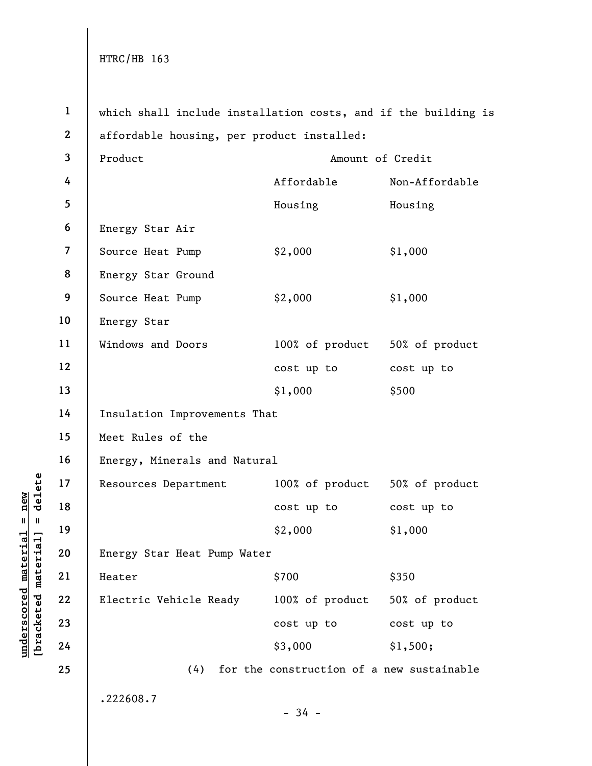underschieden in der alle anderes einer alle material einer der alle materiale material einer der alle materiale materiale et al.<br>
19 Energy Star Heat Pump<br>
Electric Vehicle Read<br>
23 24 24 24 24 25 25 24 25 25 26 27 27 27 1 2 3 4 5 6 7 8 9 10 11 12 13 14 15 16 17 18 19 20 21 22 23 24 25 which shall include installation costs, and if the building is affordable housing, per product installed: Product Amount of Credit Affordable Non-Affordable Housing Housing Energy Star Air Source Heat Pump  $$2,000$   $$1,000$ Energy Star Ground Source Heat Pump  $$2,000$   $$1,000$ Energy Star Windows and Doors 100% of product 50% of product cost up to cost up to \$1,000 \$500 Insulation Improvements That Meet Rules of the Energy, Minerals and Natural Resources Department 100% of product 50% of product cost up to cost up to \$2,000 \$1,000 Energy Star Heat Pump Water  $\text{Heater}$   $\text{\$700}$   $\text{\$350}$ Electric Vehicle Ready 100% of product 50% of product cost up to cost up to \$3,000 \$1,500; (4) for the construction of a new sustainable .222608.7  $-34 -$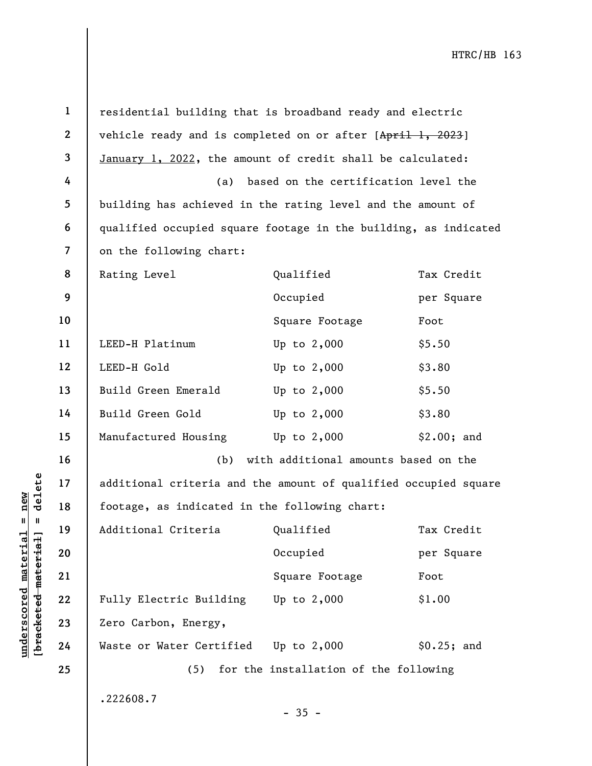|                        | $\mathbf{1}$             | residential building that is broadband ready and electric       |                                       |             |
|------------------------|--------------------------|-----------------------------------------------------------------|---------------------------------------|-------------|
|                        | $\mathbf{2}$             | vehicle ready and is completed on or after [April 1, 2023]      |                                       |             |
|                        | 3                        | January 1, 2022, the amount of credit shall be calculated:      |                                       |             |
|                        | 4                        | (a)                                                             | based on the certification level the  |             |
|                        | 5                        | building has achieved in the rating level and the amount of     |                                       |             |
|                        | 6                        | qualified occupied square footage in the building, as indicated |                                       |             |
|                        | $\overline{\mathcal{L}}$ | on the following chart:                                         |                                       |             |
|                        | 8                        | Rating Level                                                    | Qualified                             | Tax Credit  |
|                        | 9                        |                                                                 | Occupied                              | per Square  |
|                        | 10                       |                                                                 | Square Footage                        | Foot        |
|                        | 11                       | LEED-H Platinum                                                 | Up to $2,000$                         | \$5.50      |
|                        | 12                       | LEED-H Gold                                                     | Up to $2,000$                         | \$3.80      |
|                        | 13                       | Build Green Emerald                                             | Up to $2,000$                         | \$5.50      |
|                        | 14                       | Build Green Gold                                                | Up to $2,000$                         | \$3.80      |
|                        | 15                       | Manufactured Housing                                            | Up to $2,000$                         | \$2.00; and |
|                        | 16                       | (b)                                                             | with additional amounts based on the  |             |
| delete                 | 17                       | additional criteria and the amount of qualified occupied square |                                       |             |
| new                    | 18                       | footage, as indicated in the following chart:                   |                                       |             |
| Ш<br>ಡ<br>ᆊ            | 19                       | Additional Criteria                                             | Qualified                             | Tax Credit  |
|                        | 20                       |                                                                 | Occupied                              | per Square  |
| materia                | 21                       |                                                                 | Square Footage                        | Foot        |
| underscored materi     | 22                       | Fully Electric Building                                         | Up to $2,000$                         | \$1.00      |
| [ <del>bracketed</del> | 23                       | Zero Carbon, Energy,                                            |                                       |             |
|                        | 24                       | Waste or Water Certified                                        | Up to $2,000$                         | \$0.25; and |
|                        | 25                       | (5)                                                             | for the installation of the following |             |
|                        |                          | .222608.7                                                       | $-35 -$                               |             |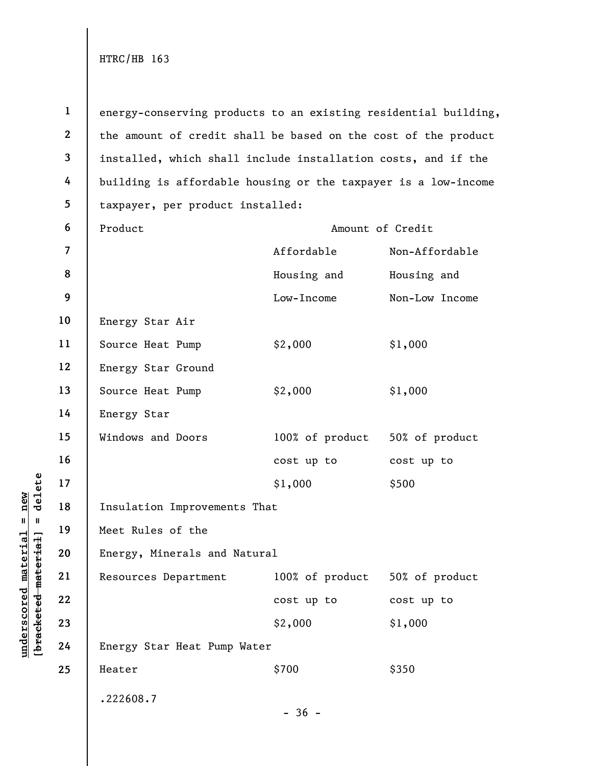under 17<br>
= 18<br>
= 19<br>
= 19<br>
= 19<br>
= 19<br>
= 19<br>
= 19<br>
= 19<br>
= 19<br>
= 19<br>
= 19<br>
= 19<br>
= 19<br>
= 19<br>
= 19<br>
= 19<br>
= 19<br>
= 19<br>
= 19<br>
= 19<br>
= 19<br>
= 19<br>
= 19<br>
= 19<br>
= 19<br>
= 19<br>
= 19<br>
= 19<br>
= 19<br>
= 19<br>
= 19<br>
= 19<br>
= 19<br>
= 19<br>
= 19<br>
= 1 2 3 4 5 6 7 8 9 10 11 12 13 14 15 16 17 18 19 20 21 22 23 24 25 energy-conserving products to an existing residential building, the amount of credit shall be based on the cost of the product installed, which shall include installation costs, and if the building is affordable housing or the taxpayer is a low-income taxpayer, per product installed: Product Amount of Credit Affordable Non-Affordable Housing and Housing and Low-Income Non-Low Income Energy Star Air Source Heat Pump  $$2,000$   $$1,000$ Energy Star Ground Source Heat Pump  $$2,000$   $$1,000$ Energy Star Windows and Doors 100% of product 50% of product cost up to cost up to \$1,000 \$500 Insulation Improvements That Meet Rules of the Energy, Minerals and Natural Resources Department 100% of product 50% of product cost up to cost up to \$2,000 \$1,000 Energy Star Heat Pump Water  $\text{Heater}$   $\text{\$700}$   $\text{\$350}$ .222608.7  $-36 -$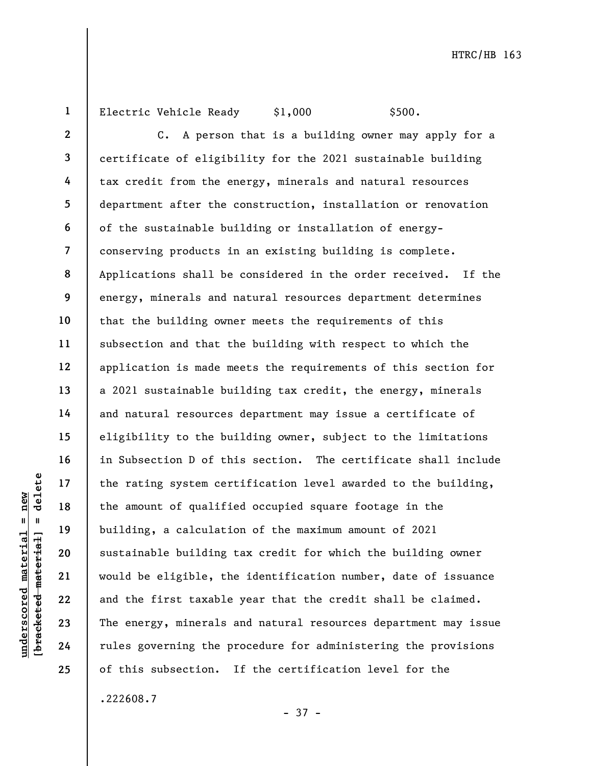1

Electric Vehicle Ready \$1,000 \$500.

understandender and the rating system certified and the amount of qualified material building, a calculation of sustainable building system certified building, a calculation of sustainable building system certified buildin 2 3 4 5 6 7 8 9 10 11 12 13 14 15 16 17 18 19 20 21 22 23 24 25 C. A person that is a building owner may apply for a certificate of eligibility for the 2021 sustainable building tax credit from the energy, minerals and natural resources department after the construction, installation or renovation of the sustainable building or installation of energyconserving products in an existing building is complete. Applications shall be considered in the order received. If the energy, minerals and natural resources department determines that the building owner meets the requirements of this subsection and that the building with respect to which the application is made meets the requirements of this section for a 2021 sustainable building tax credit, the energy, minerals and natural resources department may issue a certificate of eligibility to the building owner, subject to the limitations in Subsection D of this section. The certificate shall include the rating system certification level awarded to the building, the amount of qualified occupied square footage in the building, a calculation of the maximum amount of 2021 sustainable building tax credit for which the building owner would be eligible, the identification number, date of issuance and the first taxable year that the credit shall be claimed. The energy, minerals and natural resources department may issue rules governing the procedure for administering the provisions of this subsection. If the certification level for the

.222608.7

- 37 -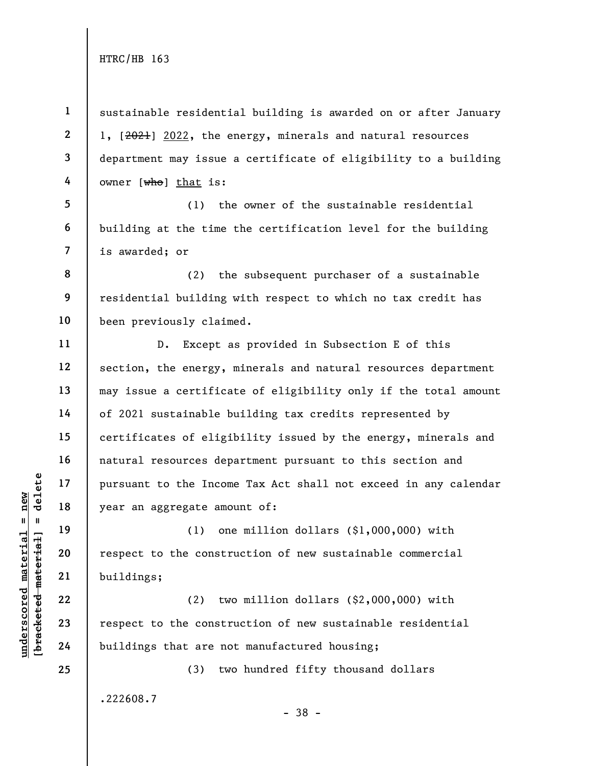1 2 3 4 5 sustainable residential building is awarded on or after January 1, [2021] 2022, the energy, minerals and natural resources department may issue a certificate of eligibility to a building owner  $[\overline{who}]$  that is: (1) the owner of the sustainable residential

6 7 building at the time the certification level for the building is awarded; or

8 9 10 (2) the subsequent purchaser of a sustainable residential building with respect to which no tax credit has been previously claimed.

D. Except as provided in Subsection E of this section, the energy, minerals and natural resources department may issue a certificate of eligibility only if the total amount of 2021 sustainable building tax credits represented by certificates of eligibility issued by the energy, minerals and natural resources department pursuant to this section and pursuant to the Income Tax Act shall not exceed in any calendar year an aggregate amount of:

understand material material of the Incom<br>
understand to the Incom<br>
year an aggregate amount of the Constr<br>
deleterated material<br>
21 buildings;<br>
22 (2) tw<br>
23 respect to the constr<br>
24 buildings that are no (1) one million dollars (\$1,000,000) with respect to the construction of new sustainable commercial buildings;

(2) two million dollars (\$2,000,000) with respect to the construction of new sustainable residential buildings that are not manufactured housing;

(3) two hundred fifty thousand dollars

.222608.7

- 38 -

11

12

13

14

15

16

17

18

19

20

21

22

23

24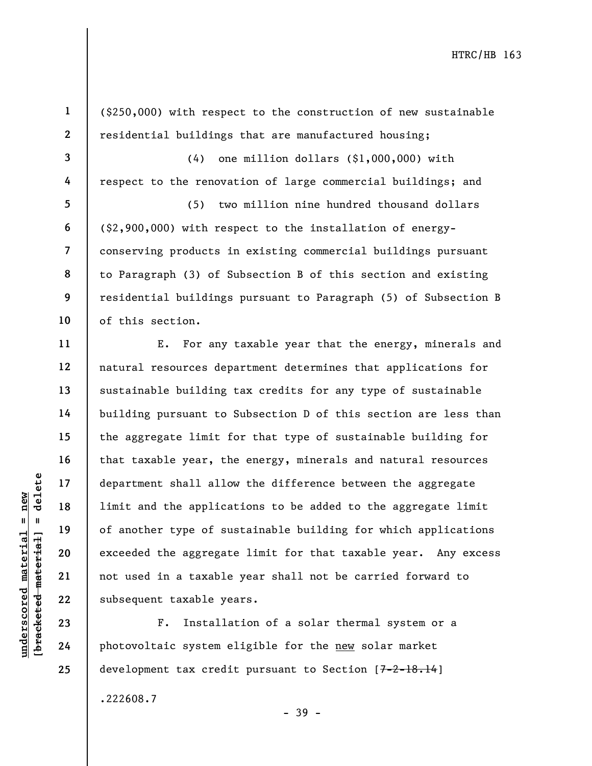1 2 3 4 5 6 7 8 9 10 11 12 13 14 (\$250,000) with respect to the construction of new sustainable residential buildings that are manufactured housing; (4) one million dollars (\$1,000,000) with respect to the renovation of large commercial buildings; and (5) two million nine hundred thousand dollars (\$2,900,000) with respect to the installation of energyconserving products in existing commercial buildings pursuant to Paragraph (3) of Subsection B of this section and existing residential buildings pursuant to Paragraph (5) of Subsection B of this section. E. For any taxable year that the energy, minerals and natural resources department determines that applications for sustainable building tax credits for any type of sustainable

underscored material and the application of another type of subsequent taxable<br>gradient 20<br>application of another type of subsequent taxable<br>along 22<br>application 23<br>application 24<br>photovoltaic system e building pursuant to Subsection D of this section are less than the aggregate limit for that type of sustainable building for that taxable year, the energy, minerals and natural resources department shall allow the difference between the aggregate limit and the applications to be added to the aggregate limit of another type of sustainable building for which applications exceeded the aggregate limit for that taxable year. Any excess not used in a taxable year shall not be carried forward to subsequent taxable years.

F. Installation of a solar thermal system or a photovoltaic system eligible for the new solar market development tax credit pursuant to Section [7-2-18.14]

.222608.7

- 39 -

15

16

17

18

19

20

21

22

23

24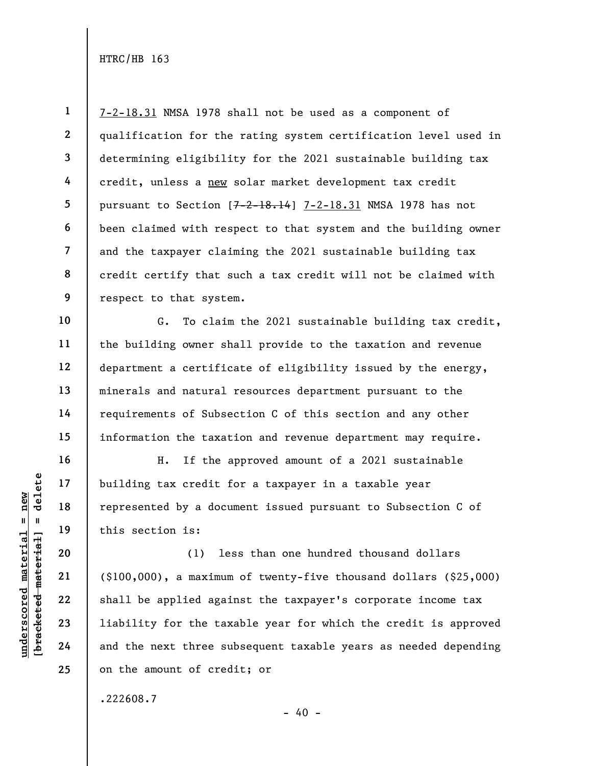1 2 3 4 5 6 7 8 9 7-2-18.31 NMSA 1978 shall not be used as a component of qualification for the rating system certification level used in determining eligibility for the 2021 sustainable building tax credit, unless a new solar market development tax credit pursuant to Section [7-2-18.14] 7-2-18.31 NMSA 1978 has not been claimed with respect to that system and the building owner and the taxpayer claiming the 2021 sustainable building tax credit certify that such a tax credit will not be claimed with respect to that system.

G. To claim the 2021 sustainable building tax credit, the building owner shall provide to the taxation and revenue department a certificate of eligibility issued by the energy, minerals and natural resources department pursuant to the requirements of Subsection C of this section and any other information the taxation and revenue department may require.

H. If the approved amount of a 2021 sustainable building tax credit for a taxpayer in a taxable year represented by a document issued pursuant to Subsection C of this section is:

under 17<br>
= 18<br>
= 18<br>
= 19<br>
= 19<br>
= 19<br>
= 19<br>
= 19<br>
= 19<br>
= 19<br>
= 19<br>
= 19<br>
= 19<br>
= 19<br>
= 19<br>
= 19<br>
= 19<br>
= 19<br>
= 19<br>
= 19<br>
= 19<br>
= 19<br>
= 19<br>
= 19<br>
= 19<br>
= 19<br>
= 19<br>
= 19<br>
= 19<br>
= 19<br>
= 19<br>
= 19<br>
= 19<br>
= 19<br>
= 19<br>
= 19<br>
= (1) less than one hundred thousand dollars (\$100,000), a maximum of twenty-five thousand dollars (\$25,000) shall be applied against the taxpayer's corporate income tax liability for the taxable year for which the credit is approved and the next three subsequent taxable years as needed depending on the amount of credit; or

.222608.7

10

11

12

13

14

15

16

17

18

19

20

21

22

23

24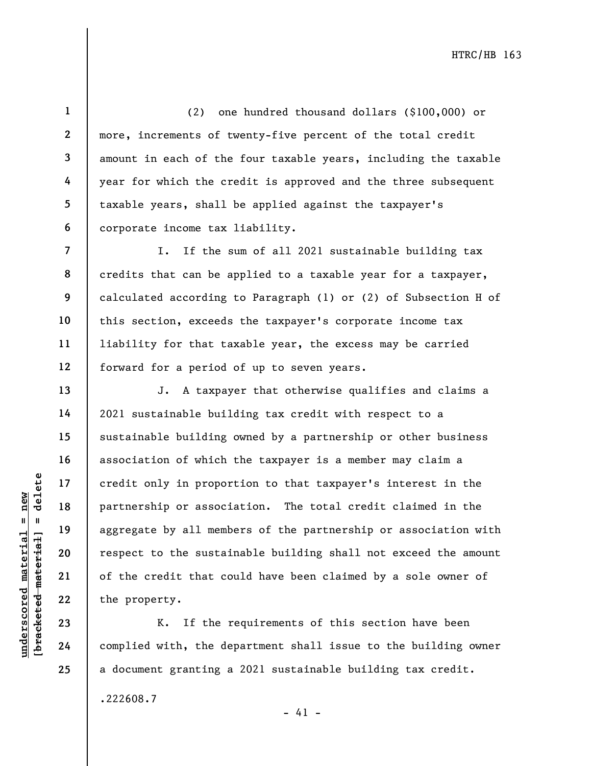1 2

3

4

5

6

7

8

9

10

11

12

13

14

15

16

17

18

19

20

21

22

23

24

25

(2) one hundred thousand dollars (\$100,000) or more, increments of twenty-five percent of the total credit amount in each of the four taxable years, including the taxable year for which the credit is approved and the three subsequent taxable years, shall be applied against the taxpayer's corporate income tax liability.

I. If the sum of all 2021 sustainable building tax credits that can be applied to a taxable year for a taxpayer, calculated according to Paragraph (1) or (2) of Subsection H of this section, exceeds the taxpayer's corporate income tax liability for that taxable year, the excess may be carried forward for a period of up to seven years.

underscored material = new [bracketed material] = delete J. A taxpayer that otherwise qualifies and claims a 2021 sustainable building tax credit with respect to a sustainable building owned by a partnership or other business association of which the taxpayer is a member may claim a credit only in proportion to that taxpayer's interest in the partnership or association. The total credit claimed in the aggregate by all members of the partnership or association with respect to the sustainable building shall not exceed the amount of the credit that could have been claimed by a sole owner of the property.

K. If the requirements of this section have been complied with, the department shall issue to the building owner a document granting a 2021 sustainable building tax credit.

 $- 41 -$ 

.222608.7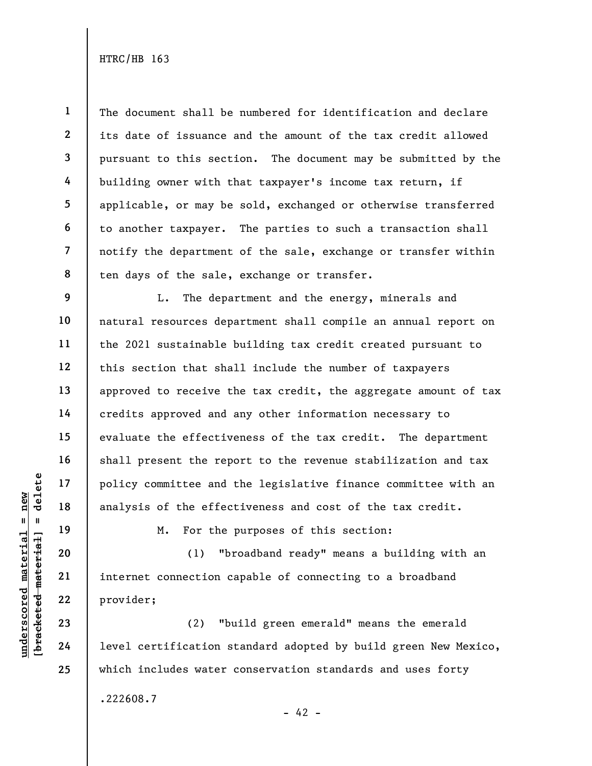1 2 3 4 5 6 7 8 The document shall be numbered for identification and declare its date of issuance and the amount of the tax credit allowed pursuant to this section. The document may be submitted by the building owner with that taxpayer's income tax return, if applicable, or may be sold, exchanged or otherwise transferred to another taxpayer. The parties to such a transaction shall notify the department of the sale, exchange or transfer within ten days of the sale, exchange or transfer.

L. The department and the energy, minerals and natural resources department shall compile an annual report on the 2021 sustainable building tax credit created pursuant to this section that shall include the number of taxpayers approved to receive the tax credit, the aggregate amount of tax credits approved and any other information necessary to evaluate the effectiveness of the tax credit. The department shall present the report to the revenue stabilization and tax policy committee and the legislative finance committee with an analysis of the effectiveness and cost of the tax credit.

M. For the purposes of this section:

underscored material = new [bracketed material] = delete (1) "broadband ready" means a building with an internet connection capable of connecting to a broadband provider;

(2) "build green emerald" means the emerald level certification standard adopted by build green New Mexico, which includes water conservation standards and uses forty .222608.7  $- 42 -$ 

9

10

11

12

13

14

15

16

17

18

19

20

21

22

23

24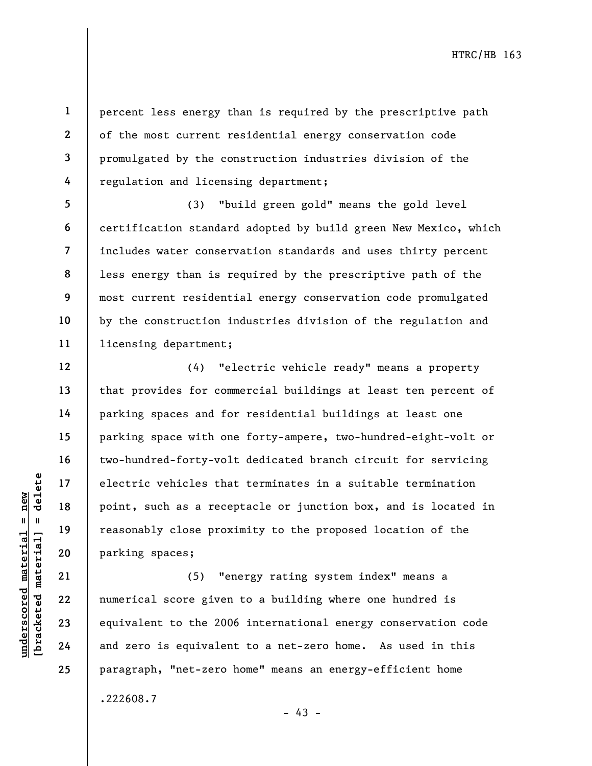8

9

10

11

12

13

14

15

16

17

18

19

20

21

22

23

24

25

1

percent less energy than is required by the prescriptive path of the most current residential energy conservation code promulgated by the construction industries division of the regulation and licensing department;

(3) "build green gold" means the gold level certification standard adopted by build green New Mexico, which includes water conservation standards and uses thirty percent less energy than is required by the prescriptive path of the most current residential energy conservation code promulgated by the construction industries division of the regulation and licensing department;

understand material score given<br>
we have the set of the set of the set of the set of the set of the set of the<br>
definition of the set of the set of the set of the set of the set of the set<br>
we have the set of the set of th (4) "electric vehicle ready" means a property that provides for commercial buildings at least ten percent of parking spaces and for residential buildings at least one parking space with one forty-ampere, two-hundred-eight-volt or two-hundred-forty-volt dedicated branch circuit for servicing electric vehicles that terminates in a suitable termination point, such as a receptacle or junction box, and is located in reasonably close proximity to the proposed location of the parking spaces;

(5) "energy rating system index" means a numerical score given to a building where one hundred is equivalent to the 2006 international energy conservation code and zero is equivalent to a net-zero home. As used in this paragraph, "net-zero home" means an energy-efficient home .222608.7

- 43 -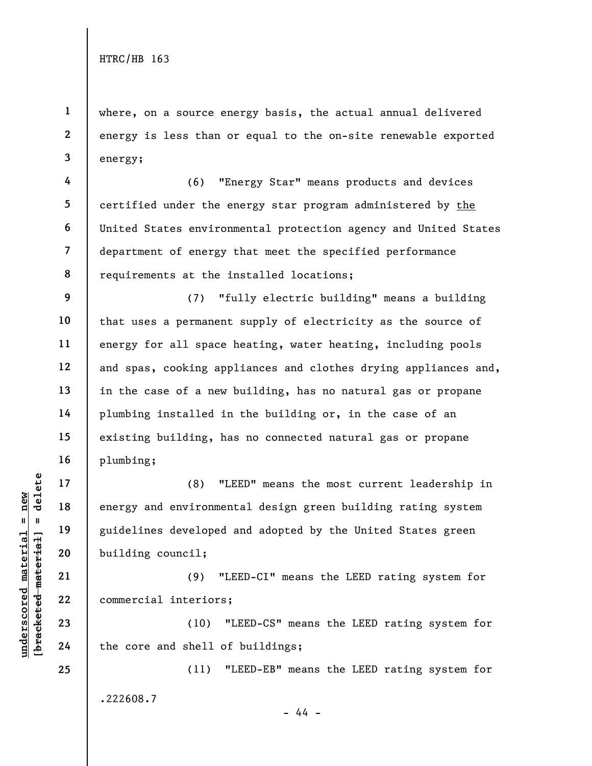4

5

6

7

8

1 2 3 where, on a source energy basis, the actual annual delivered energy is less than or equal to the on-site renewable exported energy;

(6) "Energy Star" means products and devices certified under the energy star program administered by the United States environmental protection agency and United States department of energy that meet the specified performance requirements at the installed locations;

9 10 11 12 13 14 15 16 (7) "fully electric building" means a building that uses a permanent supply of electricity as the source of energy for all space heating, water heating, including pools and spas, cooking appliances and clothes drying appliances and, in the case of a new building, has no natural gas or propane plumbing installed in the building or, in the case of an existing building, has no connected natural gas or propane plumbing;

underscored material = new [bracketed material] = delete (8) "LEED" means the most current leadership in energy and environmental design green building rating system guidelines developed and adopted by the United States green building council;

(9) "LEED-CI" means the LEED rating system for commercial interiors;

(10) "LEED-CS" means the LEED rating system for the core and shell of buildings;

(11) "LEED-EB" means the LEED rating system for .222608.7 - 44 -

24 25

17

18

19

20

21

22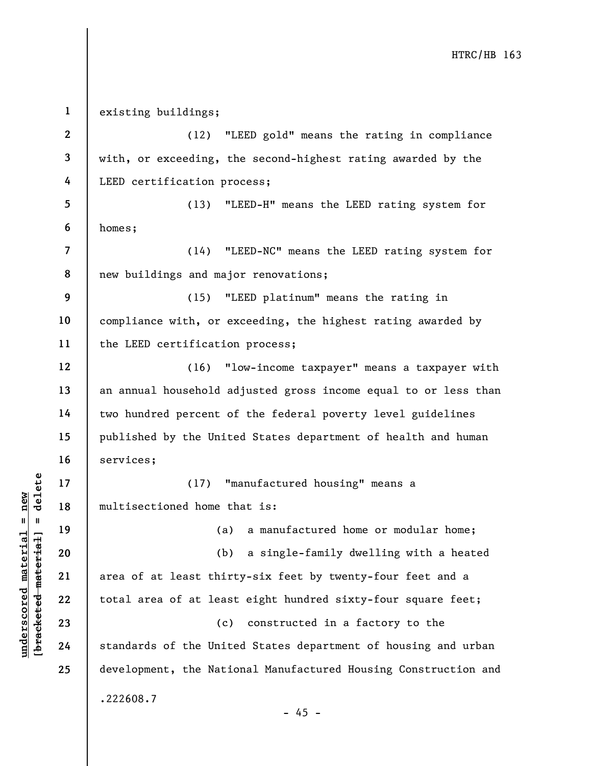underscored home to the Unit<br>
and the material of a last thin<br>
which area of at least thin<br>
which area of at least thin<br>
which area of at least thin<br>
23<br>
24<br>
Standards of the Unit 1 2 3 4 5 6 7 8 9 10 11 12 13 14 15 16 17 18 19 20 21 22 23 24 25 existing buildings; (12) "LEED gold" means the rating in compliance with, or exceeding, the second-highest rating awarded by the LEED certification process; (13) "LEED-H" means the LEED rating system for homes; (14) "LEED-NC" means the LEED rating system for new buildings and major renovations; (15) "LEED platinum" means the rating in compliance with, or exceeding, the highest rating awarded by the LEED certification process; (16) "low-income taxpayer" means a taxpayer with an annual household adjusted gross income equal to or less than two hundred percent of the federal poverty level guidelines published by the United States department of health and human services; (17) "manufactured housing" means a multisectioned home that is: (a) a manufactured home or modular home; (b) a single-family dwelling with a heated area of at least thirty-six feet by twenty-four feet and a total area of at least eight hundred sixty-four square feet; (c) constructed in a factory to the standards of the United States department of housing and urban development, the National Manufactured Housing Construction and .222608.7  $- 45 -$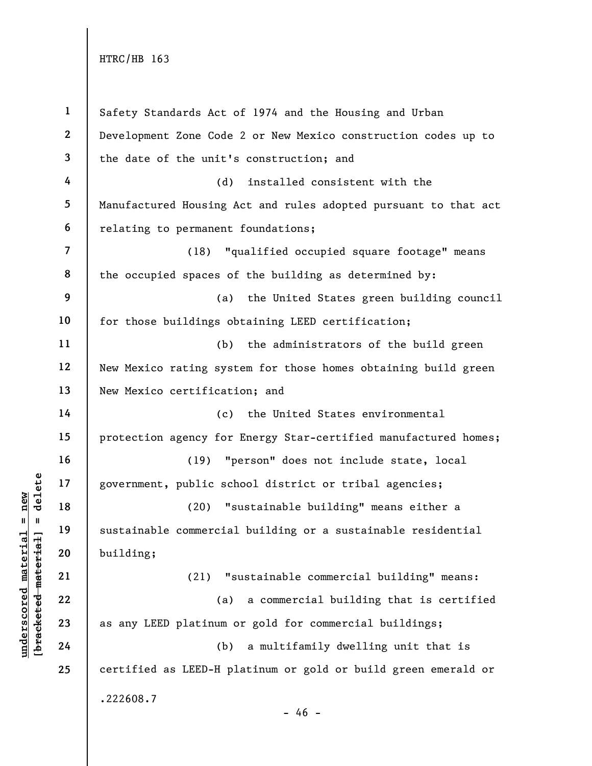underscored material material experiment, public scored material and the material of the sustainable commercial<br>deleteration of the sustainable commercial<br>deleteration 21 (21) "<br>23 as any LEED platinum<br>24 (b) 1 2 3 4 5 6 7 8 9 10 11 12 13 14 15 16 17 18 19 20 21 22 23 24 25 Safety Standards Act of 1974 and the Housing and Urban Development Zone Code 2 or New Mexico construction codes up to the date of the unit's construction; and (d) installed consistent with the Manufactured Housing Act and rules adopted pursuant to that act relating to permanent foundations; (18) "qualified occupied square footage" means the occupied spaces of the building as determined by: (a) the United States green building council for those buildings obtaining LEED certification; (b) the administrators of the build green New Mexico rating system for those homes obtaining build green New Mexico certification; and (c) the United States environmental protection agency for Energy Star-certified manufactured homes; (19) "person" does not include state, local government, public school district or tribal agencies; (20) "sustainable building" means either a sustainable commercial building or a sustainable residential building; (21) "sustainable commercial building" means: (a) a commercial building that is certified as any LEED platinum or gold for commercial buildings; (b) a multifamily dwelling unit that is certified as LEED-H platinum or gold or build green emerald or .222608.7  $- 46 -$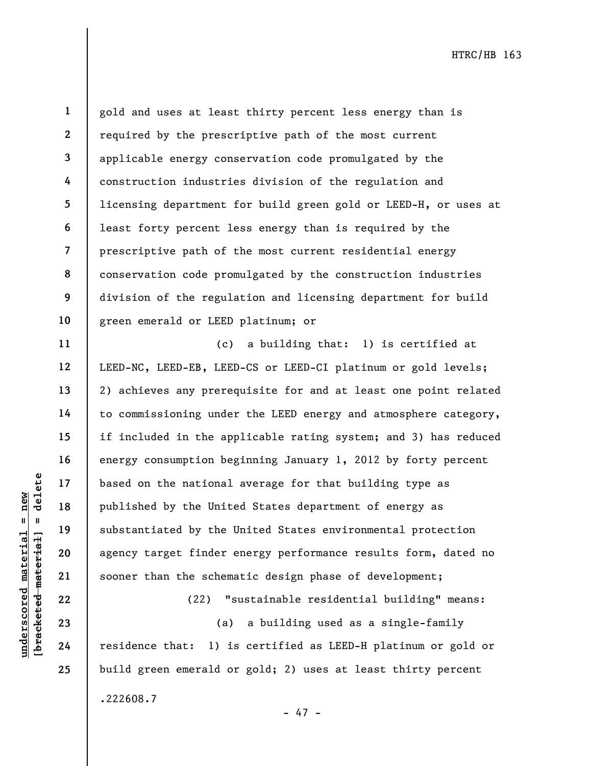11

12

13

14

15

16

17

18

19

20

21

22

23

24

25

1 2 3 4 5 6 7 8 9 10 gold and uses at least thirty percent less energy than is required by the prescriptive path of the most current applicable energy conservation code promulgated by the construction industries division of the regulation and licensing department for build green gold or LEED-H, or uses at least forty percent less energy than is required by the prescriptive path of the most current residential energy conservation code promulgated by the construction industries division of the regulation and licensing department for build green emerald or LEED platinum; or

underscored material = new [bracketed material] = delete (c) a building that: 1) is certified at LEED-NC, LEED-EB, LEED-CS or LEED-CI platinum or gold levels; 2) achieves any prerequisite for and at least one point related to commissioning under the LEED energy and atmosphere category, if included in the applicable rating system; and 3) has reduced energy consumption beginning January 1, 2012 by forty percent based on the national average for that building type as published by the United States department of energy as substantiated by the United States environmental protection agency target finder energy performance results form, dated no sooner than the schematic design phase of development;

(22) "sustainable residential building" means: (a) a building used as a single-family residence that: 1) is certified as LEED-H platinum or gold or build green emerald or gold; 2) uses at least thirty percent .222608.7

- 47 -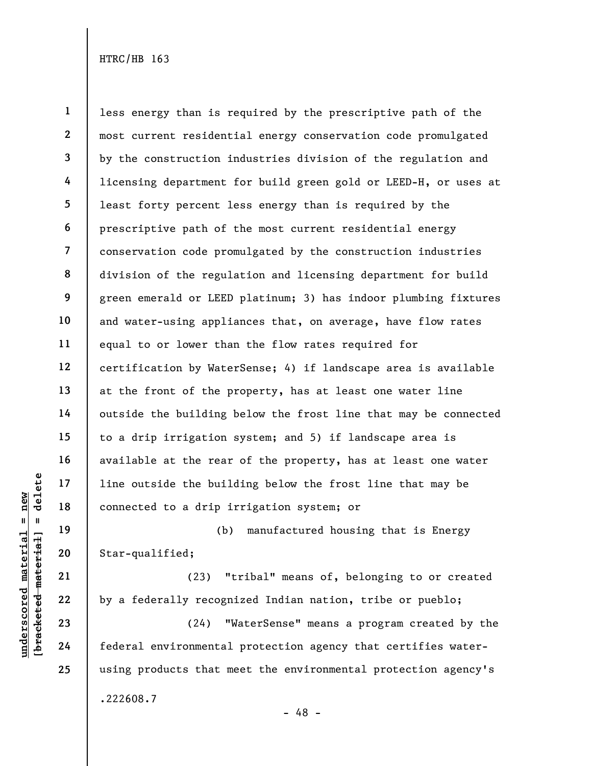underscored material = new [bracketed material] = delete 1 2 3 4 5 6 7 8 9 10 11 12 13 14 15 16 17 18 less energy than is required by the prescriptive path of the most current residential energy conservation code promulgated by the construction industries division of the regulation and licensing department for build green gold or LEED-H, or uses at least forty percent less energy than is required by the prescriptive path of the most current residential energy conservation code promulgated by the construction industries division of the regulation and licensing department for build green emerald or LEED platinum; 3) has indoor plumbing fixtures and water-using appliances that, on average, have flow rates equal to or lower than the flow rates required for certification by WaterSense; 4) if landscape area is available at the front of the property, has at least one water line outside the building below the frost line that may be connected to a drip irrigation system; and 5) if landscape area is available at the rear of the property, has at least one water line outside the building below the frost line that may be connected to a drip irrigation system; or

(b) manufactured housing that is Energy Star-qualified;

(23) "tribal" means of, belonging to or created by a federally recognized Indian nation, tribe or pueblo;

(24) "WaterSense" means a program created by the federal environmental protection agency that certifies waterusing products that meet the environmental protection agency's .222608.7

19

20

21

22

23

24

25

- 48 -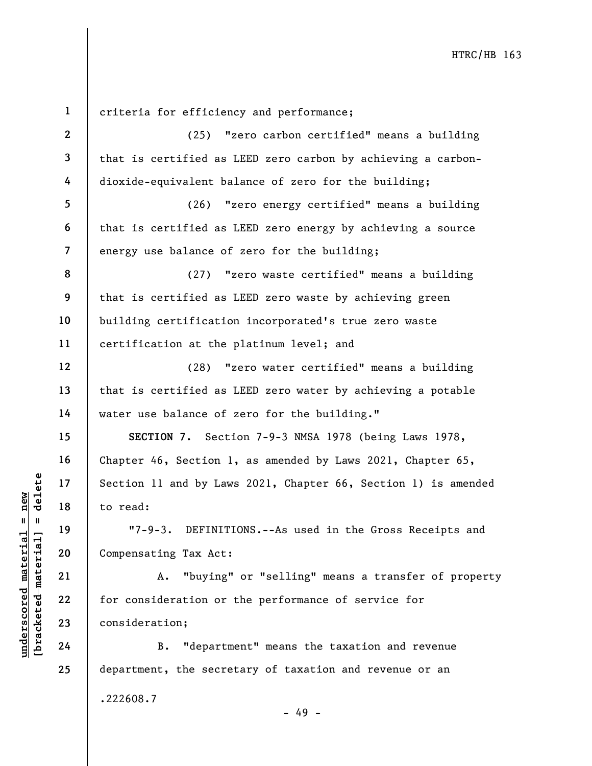underschied material material external and by Law<br>
understand to read:<br>
with the material material material materials of the material of the material discrete<br>
21 a. "buying"<br>
23 consideration;<br>
24 B. "department"<br>
24 B. " 1 2 3 4 5 6 7 8 9 10 11 12 13 14 15 16 17 18 19 20 21 22 23 24 25 criteria for efficiency and performance; (25) "zero carbon certified" means a building that is certified as LEED zero carbon by achieving a carbondioxide-equivalent balance of zero for the building; (26) "zero energy certified" means a building that is certified as LEED zero energy by achieving a source energy use balance of zero for the building; (27) "zero waste certified" means a building that is certified as LEED zero waste by achieving green building certification incorporated's true zero waste certification at the platinum level; and (28) "zero water certified" means a building that is certified as LEED zero water by achieving a potable water use balance of zero for the building." SECTION 7. Section 7-9-3 NMSA 1978 (being Laws 1978, Chapter 46, Section 1, as amended by Laws 2021, Chapter 65, Section 11 and by Laws 2021, Chapter 66, Section 1) is amended to read: "7-9-3. DEFINITIONS.--As used in the Gross Receipts and Compensating Tax Act: A. "buying" or "selling" means a transfer of property for consideration or the performance of service for consideration; B. "department" means the taxation and revenue department, the secretary of taxation and revenue or an

- 49 -

.222608.7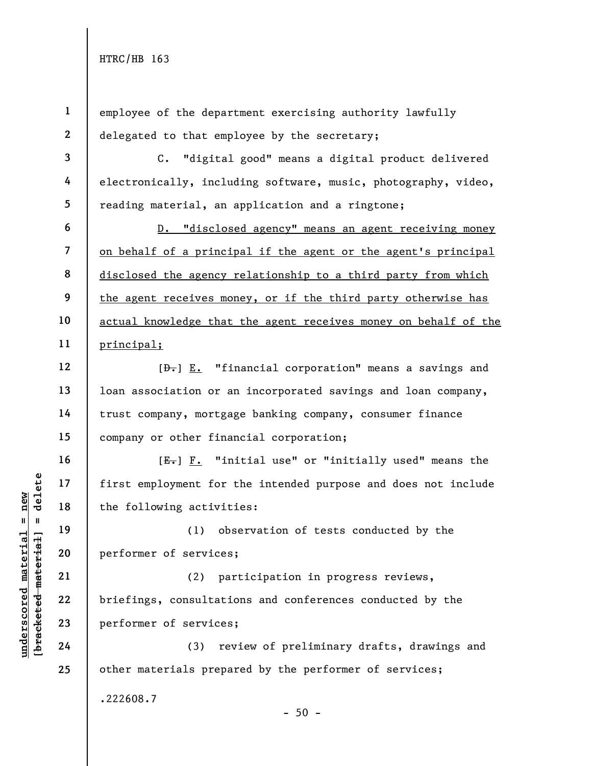underscored material material end of the following activity<br>
and the following activity<br>
and the following activity<br>
and the following activity<br>
(1) ob<br>
performer of services<br>
(2) pa<br>
briefings, consultative<br>
24<br>
(3) re 1 2 3 4 5 6 7 8 9 10 11 12 13 14 15 16 17 18 19 20 21 22 23 24 25 employee of the department exercising authority lawfully delegated to that employee by the secretary; C. "digital good" means a digital product delivered electronically, including software, music, photography, video, reading material, an application and a ringtone; D. "disclosed agency" means an agent receiving money on behalf of a principal if the agent or the agent's principal disclosed the agency relationship to a third party from which the agent receives money, or if the third party otherwise has actual knowledge that the agent receives money on behalf of the principal;  $[\frac{D-1}{2}]$   $\underline{E.}$  "financial corporation" means a savings and loan association or an incorporated savings and loan company, trust company, mortgage banking company, consumer finance company or other financial corporation;  $[E-]$   $F.$  "initial use" or "initially used" means the first employment for the intended purpose and does not include the following activities: (1) observation of tests conducted by the performer of services; (2) participation in progress reviews, briefings, consultations and conferences conducted by the performer of services; (3) review of preliminary drafts, drawings and other materials prepared by the performer of services; .222608.7  $-50 -$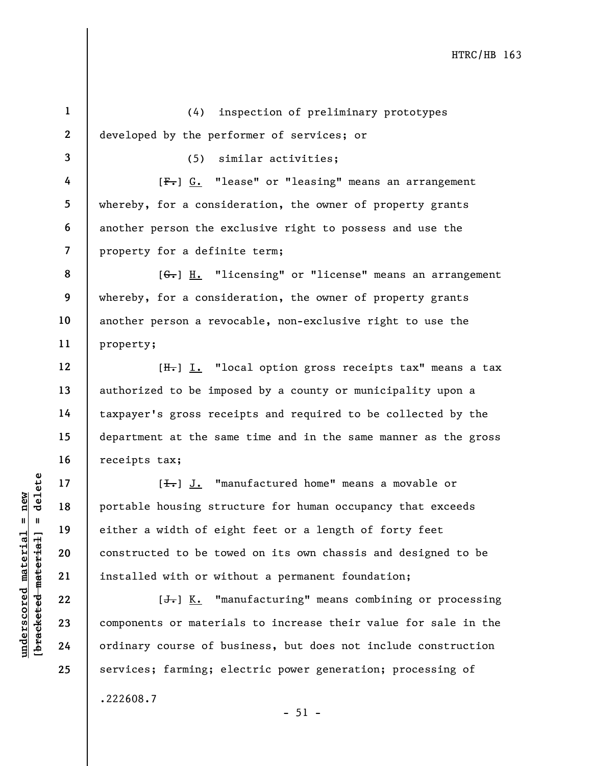understand material material portable housing strue<br>  $\begin{array}{c|c|c|c} \hline \text{u} & \text{u} & \text{u} & \text{u} & \text{u} \\ \hline \text{u} & \text{u} & \text{u} & \text{u} & \text{u} \\ \hline \text{u} & \text{u} & \text{u} & \text{u} & \text{u} \\ \hline \text{u} & \text{u} & \text{u} & \text{u} & \text{u} \\ \hline \text{u} & \text{u} & \text{u} & \text$ 1 2 3 4 5 6 7 8 9 10 11 12 13 14 15 16 17 18 19 20 21 22 23 24 25 (4) inspection of preliminary prototypes developed by the performer of services; or (5) similar activities; [F.] G. "lease" or "leasing" means an arrangement whereby, for a consideration, the owner of property grants another person the exclusive right to possess and use the property for a definite term; [G.] H. "licensing" or "license" means an arrangement whereby, for a consideration, the owner of property grants another person a revocable, non-exclusive right to use the property; [H.] I. "local option gross receipts tax" means a tax authorized to be imposed by a county or municipality upon a taxpayer's gross receipts and required to be collected by the department at the same time and in the same manner as the gross receipts tax;  $[\frac{1}{\sqrt{1}}]$  J. "manufactured home" means a movable or portable housing structure for human occupancy that exceeds either a width of eight feet or a length of forty feet constructed to be towed on its own chassis and designed to be installed with or without a permanent foundation;  $[J<sub>r</sub>]$  K. "manufacturing" means combining or processing components or materials to increase their value for sale in the ordinary course of business, but does not include construction services; farming; electric power generation; processing of

 $-51 -$ 

.222608.7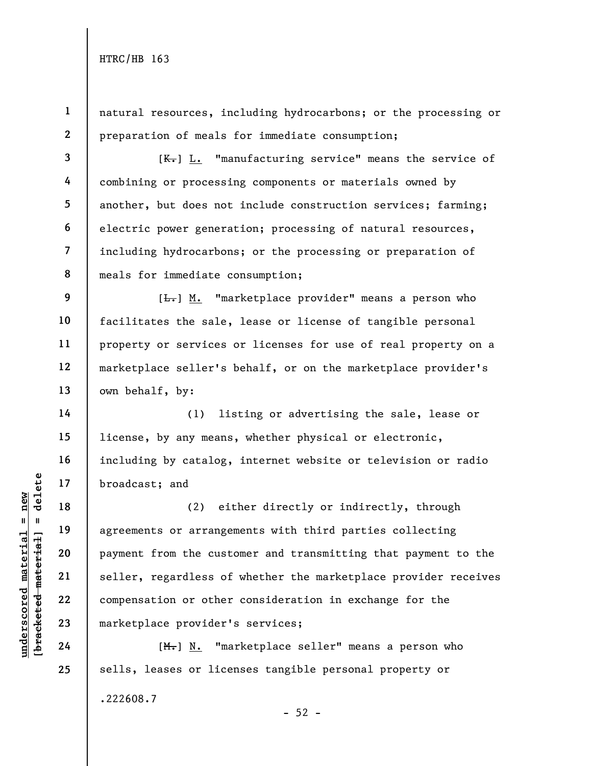6

14

15

16

17

18

19

20

21

22

23

24

25

1 2 natural resources, including hydrocarbons; or the processing or preparation of meals for immediate consumption;

3 4 5 7 8  $[K_{\tau}]$  L. "manufacturing service" means the service of combining or processing components or materials owned by another, but does not include construction services; farming; electric power generation; processing of natural resources, including hydrocarbons; or the processing or preparation of meals for immediate consumption;

9 10 11 12 13  $[\frac{L}{\sqrt{L}}]$  M. "marketplace provider" means a person who facilitates the sale, lease or license of tangible personal property or services or licenses for use of real property on a marketplace seller's behalf, or on the marketplace provider's own behalf, by:

(1) listing or advertising the sale, lease or license, by any means, whether physical or electronic, including by catalog, internet website or television or radio broadcast; and

understand<br>  $\begin{array}{c|c|c} \n\text{u} & \text{u} & \text{u} & \text{u} & \text{u} & \text{u} & \text{u} & \text{u} & \text{u} & \text{u} & \text{u} & \text{u} & \text{u} & \text{u} & \text{u} & \text{u} & \text{u} & \text{u} & \text{u} & \text{u} & \text{u} & \text{u} & \text{u} & \text{u} & \text{u} & \text{u} & \text{u} & \text{u} & \text{u} & \text{u} & \text{u} & \text{u} & \text{u$ (2) either directly or indirectly, through agreements or arrangements with third parties collecting payment from the customer and transmitting that payment to the seller, regardless of whether the marketplace provider receives compensation or other consideration in exchange for the marketplace provider's services;

[M.] N. "marketplace seller" means a person who sells, leases or licenses tangible personal property or .222608.7  $-52 -$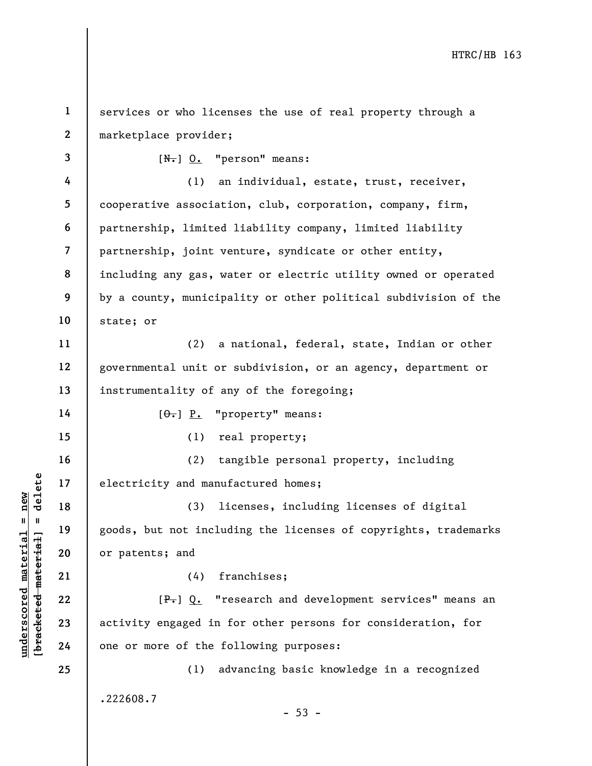understand manuf electricity and manuf<br>  $\begin{array}{c|cc}\n\text{a} & \text{b} & \text{c}} \\
\hline\n\text{a} & \text{d} & \text{e}} \\
\text{b} & \text{e} & \text{d} & \text{f} \\
\text{d} & \text{f} & \text{g} & \text{h} \\
\text{e} & \text{f} & \text{g} & \text{h} \\
\text{f} & \text{g} & \text{h} & \text{g} \\
\text{h} & \text{g} & \text{h} & \text{h} \\
\text{h} & \text{g}$ 1 2 3 4 5 6 7 8 9 10 11 12 13 14 15 16 17 18 19 20 21 22 23 24 25 services or who licenses the use of real property through a marketplace provider;  $[N<sub>1</sub>]$  0. "person" means: (1) an individual, estate, trust, receiver, cooperative association, club, corporation, company, firm, partnership, limited liability company, limited liability partnership, joint venture, syndicate or other entity, including any gas, water or electric utility owned or operated by a county, municipality or other political subdivision of the state; or (2) a national, federal, state, Indian or other governmental unit or subdivision, or an agency, department or instrumentality of any of the foregoing;  $[\theta_{\bullet}]$   $\underline{P}_{\bullet}$  "property" means: (1) real property; (2) tangible personal property, including electricity and manufactured homes; (3) licenses, including licenses of digital goods, but not including the licenses of copyrights, trademarks or patents; and (4) franchises;  $[P_{\tau}]$  Q. "research and development services" means an activity engaged in for other persons for consideration, for one or more of the following purposes: (1) advancing basic knowledge in a recognized .222608.7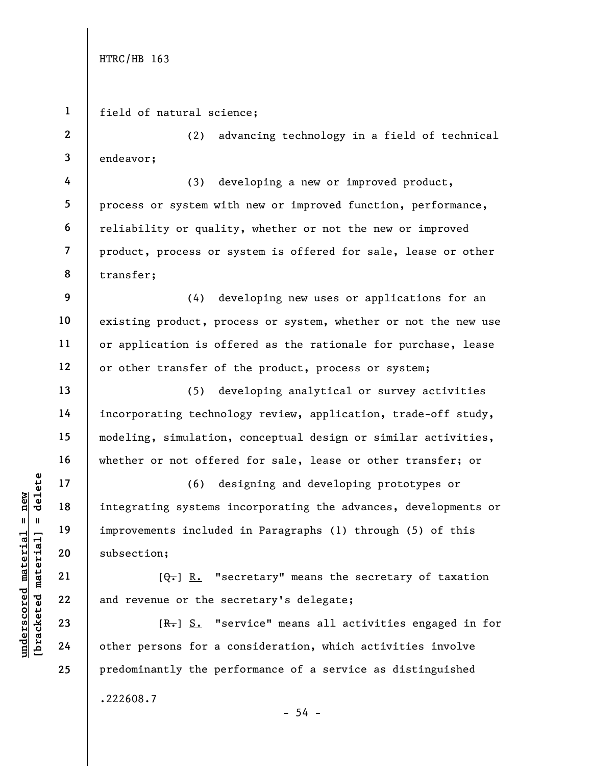2

4

5

6

7

8

9

10

11

12

13

14

15

16

17

18

19

20

21

22

23

24

25

1 field of natural science;

3 (2) advancing technology in a field of technical endeavor;

(3) developing a new or improved product, process or system with new or improved function, performance, reliability or quality, whether or not the new or improved product, process or system is offered for sale, lease or other transfer;

(4) developing new uses or applications for an existing product, process or system, whether or not the new use or application is offered as the rationale for purchase, lease or other transfer of the product, process or system;

(5) developing analytical or survey activities incorporating technology review, application, trade-off study, modeling, simulation, conceptual design or similar activities, whether or not offered for sale, lease or other transfer; or

understand material material integrating systems is<br>  $\begin{array}{c|c|c|c} \mathbf{u} & \mathbf{u} & \mathbf{u} & \mathbf{u} & \mathbf{u} & \mathbf{u} & \mathbf{u} & \mathbf{u} & \mathbf{u} & \mathbf{u} & \mathbf{u} & \mathbf{u} & \mathbf{u} & \mathbf{u} & \mathbf{u} & \mathbf{u} & \mathbf{u} & \mathbf{u} & \mathbf{u} & \mathbf{u} & \mathbf{u} & \mathbf{u} & \$ (6) designing and developing prototypes or integrating systems incorporating the advances, developments or improvements included in Paragraphs (1) through (5) of this subsection;

 $[Q_{\tau}]$  R. "secretary" means the secretary of taxation and revenue or the secretary's delegate;

[R.] S. "service" means all activities engaged in for other persons for a consideration, which activities involve predominantly the performance of a service as distinguished .222608.7  $-54 -$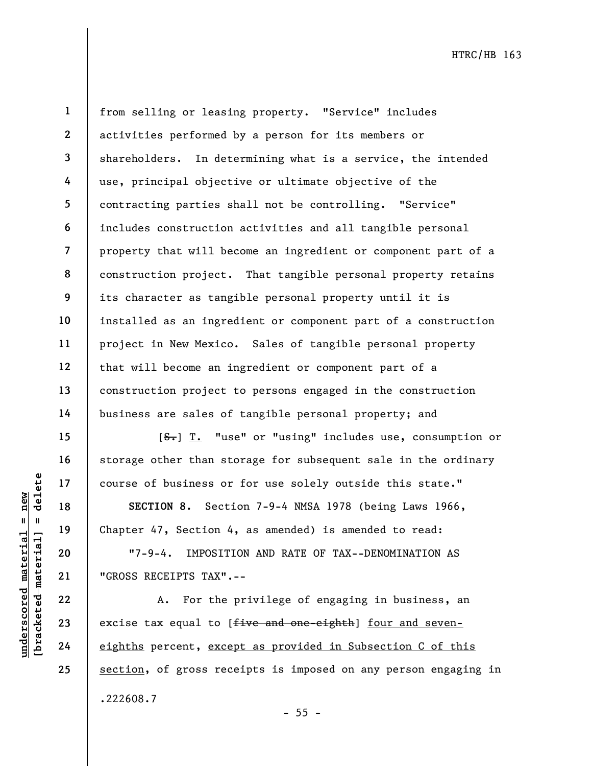25

1

2

from selling or leasing property. "Service" includes activities performed by a person for its members or shareholders. In determining what is a service, the intended use, principal objective or ultimate objective of the contracting parties shall not be controlling. "Service" includes construction activities and all tangible personal property that will become an ingredient or component part of a construction project. That tangible personal property retains its character as tangible personal property until it is installed as an ingredient or component part of a construction project in New Mexico. Sales of tangible personal property that will become an ingredient or component part of a construction project to persons engaged in the construction business are sales of tangible personal property; and

[S.] T. "use" or "using" includes use, consumption or storage other than storage for subsequent sale in the ordinary course of business or for use solely outside this state."

SECTION 8. Section 7-9-4 NMSA 1978 (being Laws 1966, Chapter 47, Section 4, as amended) is amended to read:

"7-9-4. IMPOSITION AND RATE OF TAX--DENOMINATION AS "GROSS RECEIPTS TAX".--

UNDER 17<br>
UNDER 18<br>
UNDER 19<br>
UNDER 19<br>
UNDER 19<br>
UNDER 19<br>
UNDER 19<br>
UNDER 19<br>
UNDER 19<br>
UNDER 19<br>
UNDER 19<br>
UNDER 19<br>
UNDER 19<br>
UNDER 19<br>
UNDER 19<br>
UNDER 19<br>
UNDER 19<br>
UNDER 19<br>
UNDER 19<br>
UNDER 19<br>
UNDER 19<br>
UNDER 19<br>
UN A. For the privilege of engaging in business, an excise tax equal to [five and one-eighth] four and seveneighths percent, except as provided in Subsection C of this section, of gross receipts is imposed on any person engaging in .222608.7

- 55 -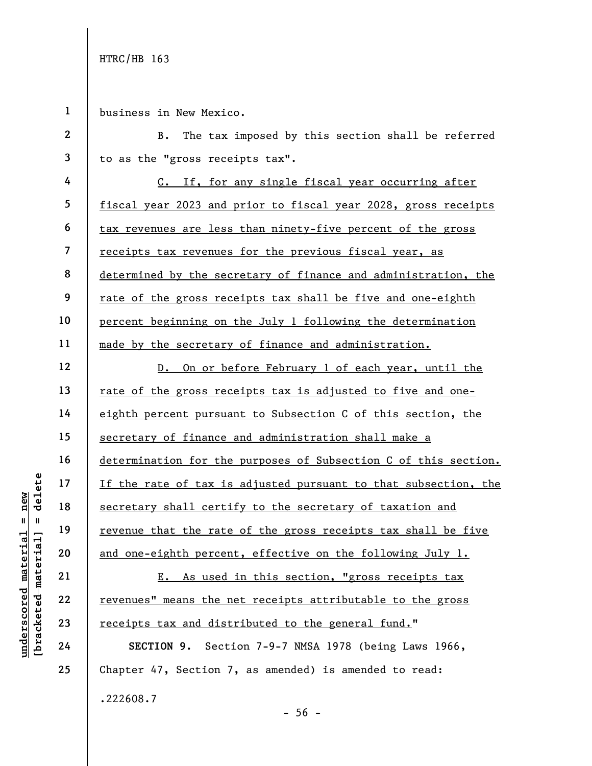1 business in New Mexico.

UN DEN THE CONFIDENT OF THE PRINCIP CONFIDENCE MANUSCRIP (UNIT)<br>
19 Tevenue that the rate<br>
20 and one-eighth percent<br>
21 E. As used<br>
23 Tevenues" means the new final<br>
24 SECTION 9. Sect 2 3 4 5 6 7 8 9 10 11 12 13 14 15 16 17 18 19 20 21 22 B. The tax imposed by this section shall be referred to as the "gross receipts tax". C. If, for any single fiscal year occurring after fiscal year 2023 and prior to fiscal year 2028, gross receipts tax revenues are less than ninety-five percent of the gross receipts tax revenues for the previous fiscal year, as determined by the secretary of finance and administration, the rate of the gross receipts tax shall be five and one-eighth percent beginning on the July 1 following the determination made by the secretary of finance and administration. D. On or before February 1 of each year, until the rate of the gross receipts tax is adjusted to five and oneeighth percent pursuant to Subsection C of this section, the secretary of finance and administration shall make a determination for the purposes of Subsection C of this section. If the rate of tax is adjusted pursuant to that subsection, the secretary shall certify to the secretary of taxation and revenue that the rate of the gross receipts tax shall be five and one-eighth percent, effective on the following July 1. E. As used in this section, "gross receipts tax revenues" means the net receipts attributable to the gross

SECTION 9. Section 7-9-7 NMSA 1978 (being Laws 1966, Chapter 47, Section 7, as amended) is amended to read: .222608.7

 $-56 -$ 

receipts tax and distributed to the general fund."

23

24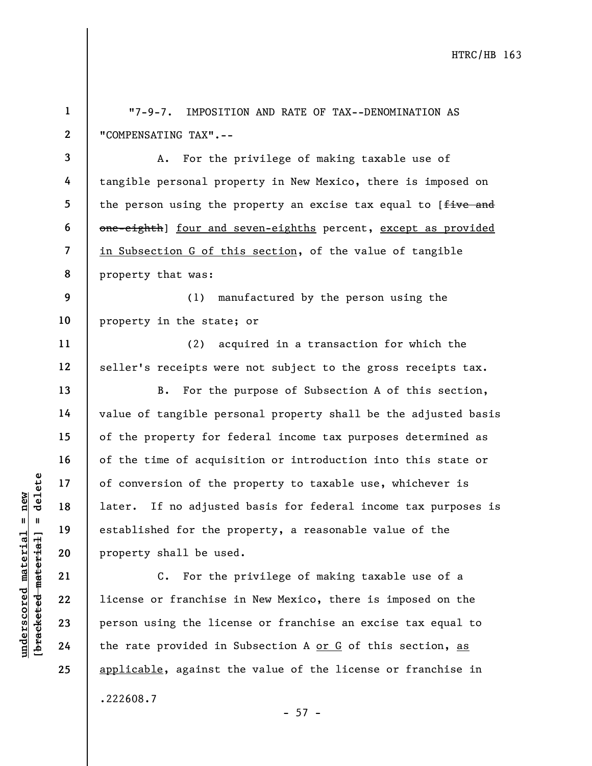underscored material = new [bracketed material] = delete 1 2 3 4 5 6 7 8 9 10 11 12 13 14 15 16 17 18 19 20 21 22 23 24 25 "7-9-7. IMPOSITION AND RATE OF TAX--DENOMINATION AS "COMPENSATING TAX".-- A. For the privilege of making taxable use of tangible personal property in New Mexico, there is imposed on the person using the property an excise tax equal to [five and one-eighth] four and seven-eighths percent, except as provided in Subsection G of this section, of the value of tangible property that was: (1) manufactured by the person using the property in the state; or (2) acquired in a transaction for which the seller's receipts were not subject to the gross receipts tax. B. For the purpose of Subsection A of this section, value of tangible personal property shall be the adjusted basis of the property for federal income tax purposes determined as of the time of acquisition or introduction into this state or of conversion of the property to taxable use, whichever is later. If no adjusted basis for federal income tax purposes is established for the property, a reasonable value of the property shall be used. C. For the privilege of making taxable use of a license or franchise in New Mexico, there is imposed on the person using the license or franchise an excise tax equal to the rate provided in Subsection A or G of this section, as applicable, against the value of the license or franchise in .222608.7

 $- 57 -$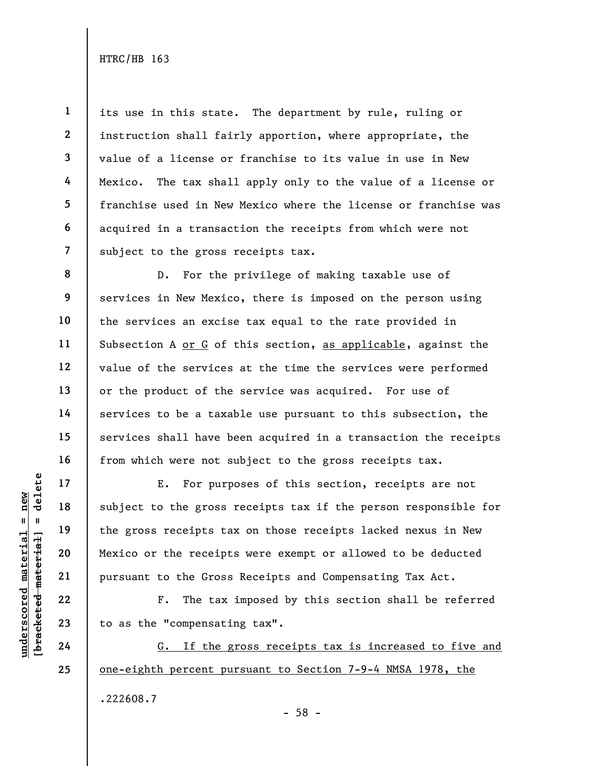1 2 3 4 5 6 7 its use in this state. The department by rule, ruling or instruction shall fairly apportion, where appropriate, the value of a license or franchise to its value in use in New Mexico. The tax shall apply only to the value of a license or franchise used in New Mexico where the license or franchise was acquired in a transaction the receipts from which were not subject to the gross receipts tax.

8 9 10 12 15 16 D. For the privilege of making taxable use of services in New Mexico, there is imposed on the person using the services an excise tax equal to the rate provided in Subsection A or G of this section, as applicable, against the value of the services at the time the services were performed or the product of the service was acquired. For use of services to be a taxable use pursuant to this subsection, the services shall have been acquired in a transaction the receipts from which were not subject to the gross receipts tax.

UNDER THE 22<br>
UNDER THE 19<br>
UNDER THE 19<br>
UNDER THE 20<br>
UNDER THE 22<br>
UNDER THE 22<br>
UNDER THE 22<br>
UNDER THE 22<br>
UNDER THE 22<br>
UNDER THE 22<br>
UNDER THE 23<br>
UNDER THE 24<br>
UNDER THE 24<br>
C. If the 2 E. For purposes of this section, receipts are not subject to the gross receipts tax if the person responsible for the gross receipts tax on those receipts lacked nexus in New Mexico or the receipts were exempt or allowed to be deducted pursuant to the Gross Receipts and Compensating Tax Act.

F. The tax imposed by this section shall be referred to as the "compensating tax".

G. If the gross receipts tax is increased to five and one-eighth percent pursuant to Section 7-9-4 NMSA 1978, the .222608.7

24 25

11

13

14

17

18

19

20

21

22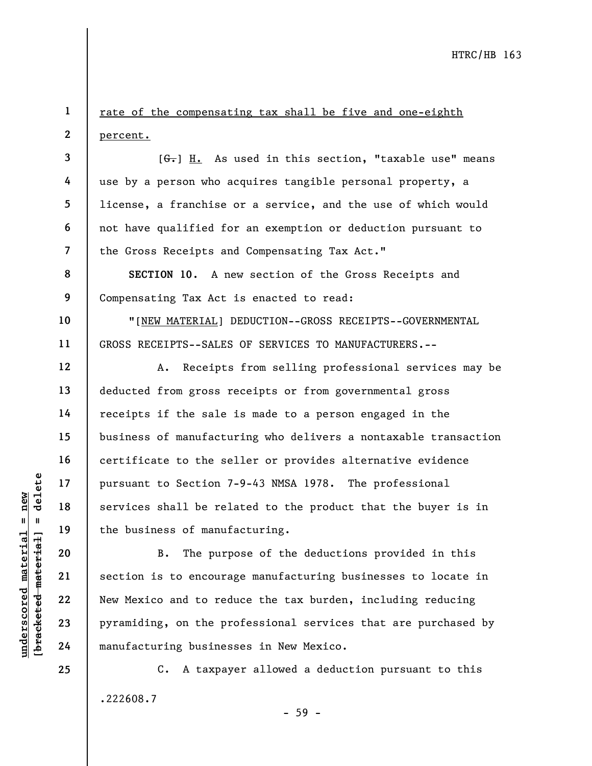rate of the compensating tax shall be five and one-eighth percent.

 $[G<sub>r</sub>]$  H. As used in this section, "taxable use" means use by a person who acquires tangible personal property, a license, a franchise or a service, and the use of which would not have qualified for an exemption or deduction pursuant to the Gross Receipts and Compensating Tax Act."

SECTION 10. A new section of the Gross Receipts and Compensating Tax Act is enacted to read:

"[NEW MATERIAL] DEDUCTION--GROSS RECEIPTS--GOVERNMENTAL GROSS RECEIPTS--SALES OF SERVICES TO MANUFACTURERS.--

A. Receipts from selling professional services may be deducted from gross receipts or from governmental gross receipts if the sale is made to a person engaged in the business of manufacturing who delivers a nontaxable transaction certificate to the seller or provides alternative evidence pursuant to Section 7-9-43 NMSA 1978. The professional services shall be related to the product that the buyer is in the business of manufacturing.

underscored material = new [bracketed material] = delete B. The purpose of the deductions provided in this section is to encourage manufacturing businesses to locate in New Mexico and to reduce the tax burden, including reducing pyramiding, on the professional services that are purchased by manufacturing businesses in New Mexico.

> C. A taxpayer allowed a deduction pursuant to this .222608.7

24 25

1

2

3

4

5

6

7

8

9

10

11

12

13

14

15

16

17

18

19

20

21

22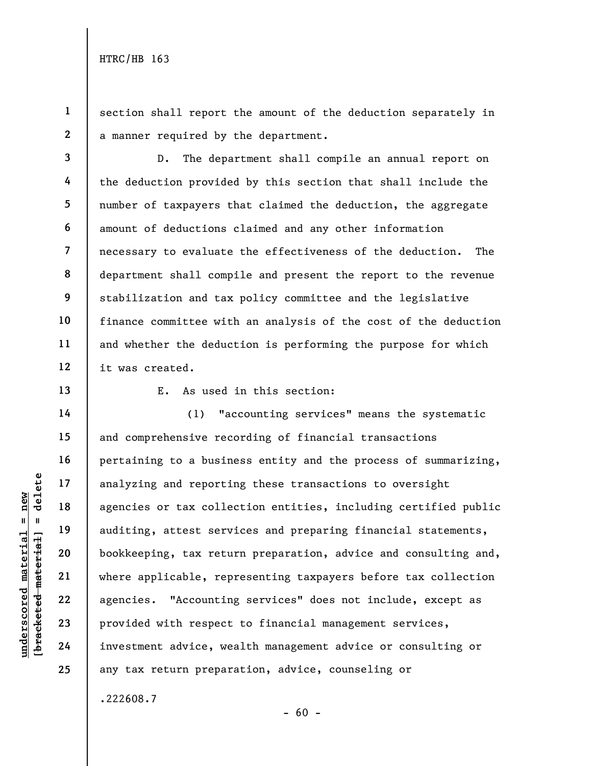section shall report the amount of the deduction separately in a manner required by the department.

3 4 5 6 7 8 9 10 11 12 D. The department shall compile an annual report on the deduction provided by this section that shall include the number of taxpayers that claimed the deduction, the aggregate amount of deductions claimed and any other information necessary to evaluate the effectiveness of the deduction. The department shall compile and present the report to the revenue stabilization and tax policy committee and the legislative finance committee with an analysis of the cost of the deduction and whether the deduction is performing the purpose for which it was created.

13

14

15

16

17

18

19

20

21

22

23

24

25

1

2

E. As used in this section:

under 17<br>
analyzing and reporti<br>
agencies or tax colle<br>
auditing, attest serv<br>
bookkeeping, tax retu<br>
where applicable, rep<br>
agencies. "Accounting"<br>
23<br>
provided with respect<br>
24<br>
investment advice, we (1) "accounting services" means the systematic and comprehensive recording of financial transactions pertaining to a business entity and the process of summarizing, analyzing and reporting these transactions to oversight agencies or tax collection entities, including certified public auditing, attest services and preparing financial statements, bookkeeping, tax return preparation, advice and consulting and, where applicable, representing taxpayers before tax collection agencies. "Accounting services" does not include, except as provided with respect to financial management services, investment advice, wealth management advice or consulting or any tax return preparation, advice, counseling or

.222608.7

 $- 60 -$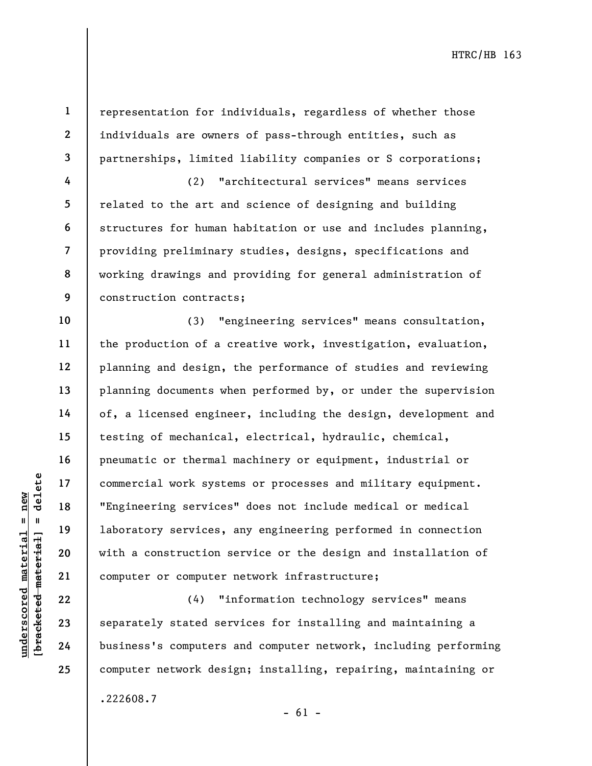2 3

4

6

10

11

12

13

14

15

16

17

18

19

20

21

22

23

24

25

.222608.7

1

representation for individuals, regardless of whether those individuals are owners of pass-through entities, such as partnerships, limited liability companies or S corporations;

5 7 8 9 (2) "architectural services" means services related to the art and science of designing and building structures for human habitation or use and includes planning, providing preliminary studies, designs, specifications and working drawings and providing for general administration of construction contracts;

under 17<br>
= 18<br>
= 18<br>
= 19<br>
= 19<br>
= 19<br>
= 19<br>
= 19<br>
= 19<br>
= 19<br>
= 19<br>
= 19<br>
= 19<br>
= 19<br>
= 19<br>
= 19<br>
= 19<br>
= 19<br>
= 19<br>
= 19<br>
= 19<br>
= 19<br>
= 19<br>
= 19<br>
= 19<br>
= 19<br>
= 19<br>
= 19<br>
= 19<br>
= 19<br>
= 19<br>
= 19<br>
= 19<br>
= 19<br>
= 19<br>
= 19<br>
= (3) "engineering services" means consultation, the production of a creative work, investigation, evaluation, planning and design, the performance of studies and reviewing planning documents when performed by, or under the supervision of, a licensed engineer, including the design, development and testing of mechanical, electrical, hydraulic, chemical, pneumatic or thermal machinery or equipment, industrial or commercial work systems or processes and military equipment. "Engineering services" does not include medical or medical laboratory services, any engineering performed in connection with a construction service or the design and installation of computer or computer network infrastructure;

(4) "information technology services" means separately stated services for installing and maintaining a business's computers and computer network, including performing computer network design; installing, repairing, maintaining or

 $- 61 -$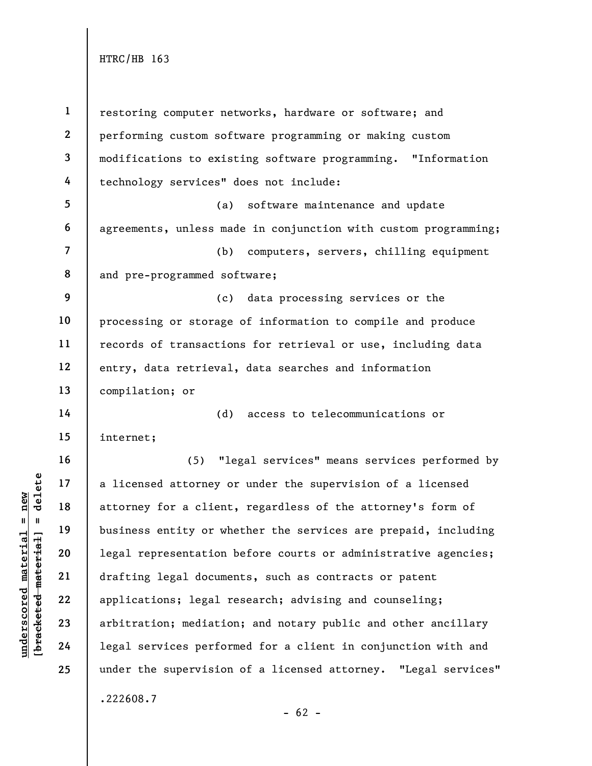underscored attorney carried material externess and the presentation<br>
weight a 19 business entity or where<br>  $\begin{array}{c|c|c|c} \hline \text{u} & \text{u} & \text{u} & \text{u} & \text{u} & \text{u} & \text{u} & \text{u} & \text{u} & \text{u} & \text{u} & \text{u} & \text{u} & \text{u} & \text{u} & \text{u} & \$ 1 2 3 4 5 6 7 8 9 10 11 12 13 14 15 16 17 18 19 20 21 22 23 24 25 restoring computer networks, hardware or software; and performing custom software programming or making custom modifications to existing software programming. "Information technology services" does not include: (a) software maintenance and update agreements, unless made in conjunction with custom programming; (b) computers, servers, chilling equipment and pre-programmed software; (c) data processing services or the processing or storage of information to compile and produce records of transactions for retrieval or use, including data entry, data retrieval, data searches and information compilation; or (d) access to telecommunications or internet; (5) "legal services" means services performed by a licensed attorney or under the supervision of a licensed attorney for a client, regardless of the attorney's form of business entity or whether the services are prepaid, including legal representation before courts or administrative agencies; drafting legal documents, such as contracts or patent applications; legal research; advising and counseling; arbitration; mediation; and notary public and other ancillary legal services performed for a client in conjunction with and under the supervision of a licensed attorney. "Legal services" .222608.7

 $- 62 -$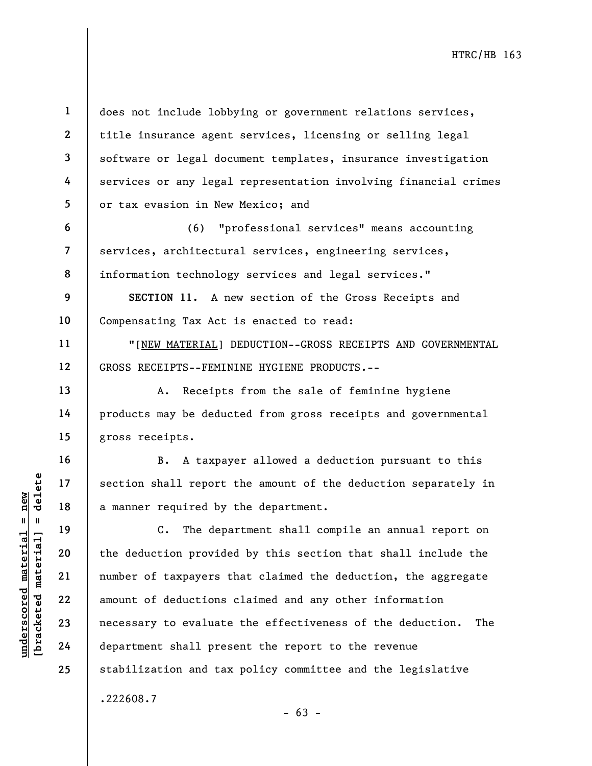does not include lobbying or government relations services, title insurance agent services, licensing or selling legal software or legal document templates, insurance investigation services or any legal representation involving financial crimes or tax evasion in New Mexico; and

(6) "professional services" means accounting services, architectural services, engineering services, information technology services and legal services."

9 10 SECTION 11. A new section of the Gross Receipts and Compensating Tax Act is enacted to read:

"[NEW MATERIAL] DEDUCTION--GROSS RECEIPTS AND GOVERNMENTAL GROSS RECEIPTS--FEMININE HYGIENE PRODUCTS.--

A. Receipts from the sale of feminine hygiene products may be deducted from gross receipts and governmental gross receipts.

B. A taxpayer allowed a deduction pursuant to this section shall report the amount of the deduction separately in a manner required by the department.

under 17<br>
a manner required by<br>
a manner required by<br>
a manner required by<br>
c. The depart<br>
department of deductions<br>
23<br>
24<br>
department shall press C. The department shall compile an annual report on the deduction provided by this section that shall include the number of taxpayers that claimed the deduction, the aggregate amount of deductions claimed and any other information necessary to evaluate the effectiveness of the deduction. The department shall present the report to the revenue stabilization and tax policy committee and the legislative .222608.7

1

2

3

4

5

6

7

8

11

12

13

14

15

16

17

18

19

20

21

22

23

24

25

 $- 63 -$